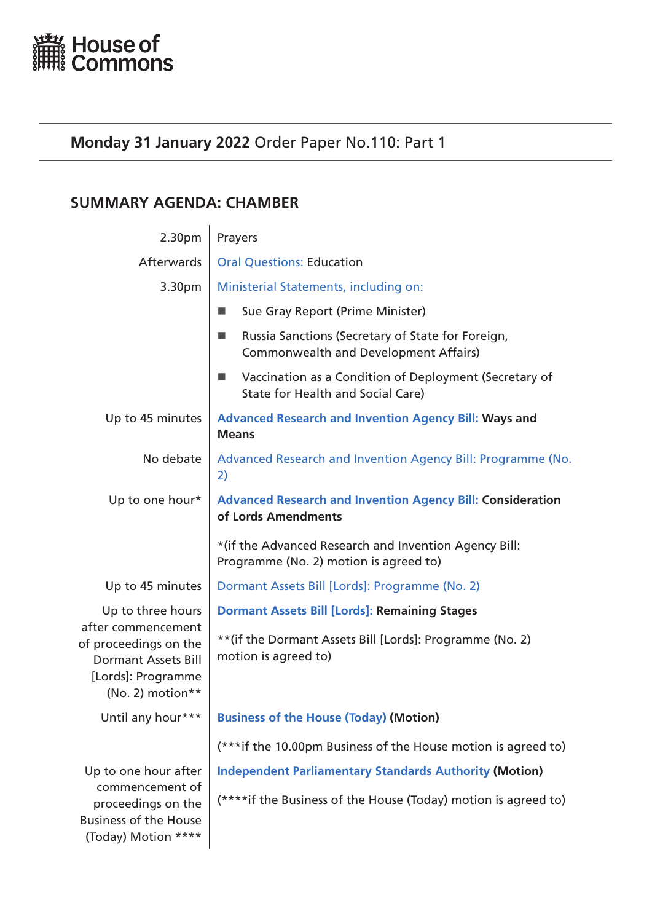<span id="page-0-0"></span>

# **Monday 31 January 2022** Order Paper No.110: Part 1

# **SUMMARY AGENDA: CHAMBER**

| 2.30pm                                                                                                                                   | Prayers                                                                                                |
|------------------------------------------------------------------------------------------------------------------------------------------|--------------------------------------------------------------------------------------------------------|
| Afterwards                                                                                                                               | <b>Oral Questions: Education</b>                                                                       |
| 3.30pm                                                                                                                                   | Ministerial Statements, including on:                                                                  |
|                                                                                                                                          | Sue Gray Report (Prime Minister)                                                                       |
|                                                                                                                                          | Russia Sanctions (Secretary of State for Foreign,<br>ш<br><b>Commonwealth and Development Affairs)</b> |
|                                                                                                                                          | Vaccination as a Condition of Deployment (Secretary of<br>State for Health and Social Care)            |
| Up to 45 minutes                                                                                                                         | <b>Advanced Research and Invention Agency Bill: Ways and</b><br><b>Means</b>                           |
| No debate                                                                                                                                | Advanced Research and Invention Agency Bill: Programme (No.<br>2)                                      |
| Up to one hour*                                                                                                                          | <b>Advanced Research and Invention Agency Bill: Consideration</b><br>of Lords Amendments               |
|                                                                                                                                          | *(if the Advanced Research and Invention Agency Bill:<br>Programme (No. 2) motion is agreed to)        |
| Up to 45 minutes                                                                                                                         | Dormant Assets Bill [Lords]: Programme (No. 2)                                                         |
| Up to three hours<br>after commencement<br>of proceedings on the<br><b>Dormant Assets Bill</b><br>[Lords]: Programme<br>(No. 2) motion** | <b>Dormant Assets Bill [Lords]: Remaining Stages</b>                                                   |
|                                                                                                                                          | ** (if the Dormant Assets Bill [Lords]: Programme (No. 2)<br>motion is agreed to)                      |
| Until any hour***                                                                                                                        | <b>Business of the House (Today) (Motion)</b>                                                          |
|                                                                                                                                          | (***if the 10.00pm Business of the House motion is agreed to)                                          |
| Up to one hour after<br>commencement of<br>proceedings on the<br><b>Business of the House</b><br>(Today) Motion ****                     | <b>Independent Parliamentary Standards Authority (Motion)</b>                                          |
|                                                                                                                                          | (****if the Business of the House (Today) motion is agreed to)                                         |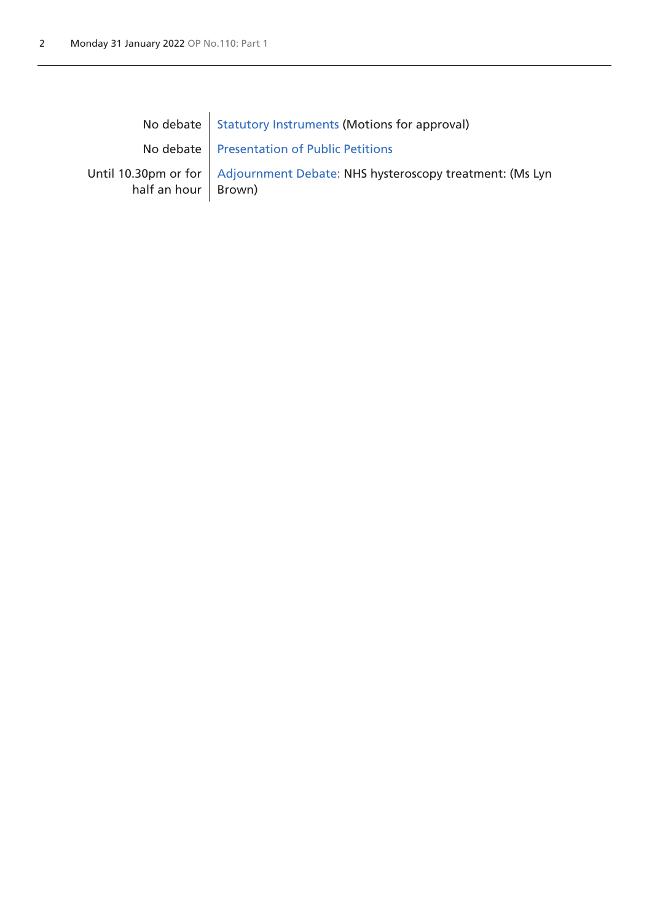|                       | No debate   Statutory Instruments (Motions for approval)                       |
|-----------------------|--------------------------------------------------------------------------------|
|                       | No debate   Presentation of Public Petitions                                   |
| half an hour   Brown) | Until 10.30pm or for   Adjournment Debate: NHS hysteroscopy treatment: (Ms Lyn |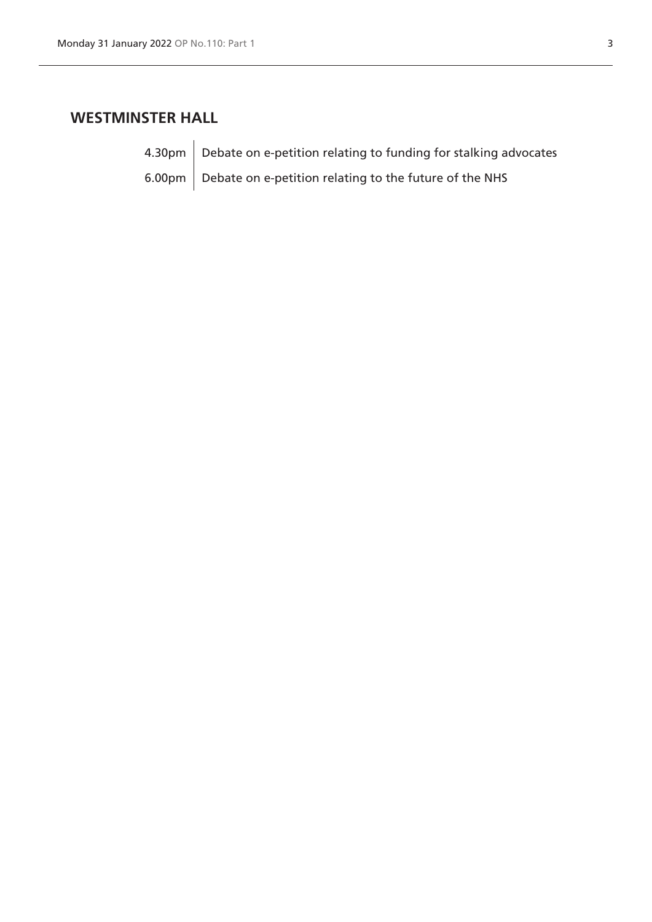# **WESTMINSTER HALL**

 $4.30 \text{pm}$  Debate on e-petition relating to funding for stalking advocates 6.00pm  $\vert$  Debate on e-petition relating to the future of the NHS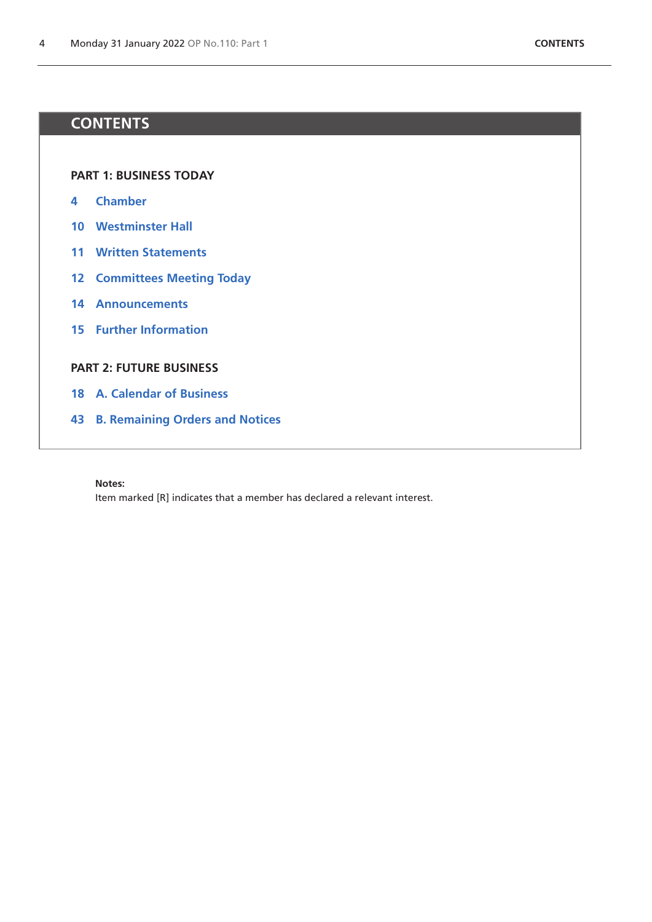# **CONTENTS**

**[PART 1: BUSINESS TODAY](#page-0-0)**

- **[Chamber](#page-4-1)**
- **[Westminster Hall](#page-10-0)**
- **[Written Statements](#page-11-0)**
- **[Committees Meeting Today](#page-12-0)**
- **[Announcements](#page-14-0)**
- **[Further Information](#page-15-0)**

# **[PART 2: FUTURE BUSINESS](#page-17-0)**

- **[A. Calendar of Business](#page-18-0)**
- **[B. Remaining Orders and Notices](#page-43-0)**

**Notes:**

Item marked [R] indicates that a member has declared a relevant interest.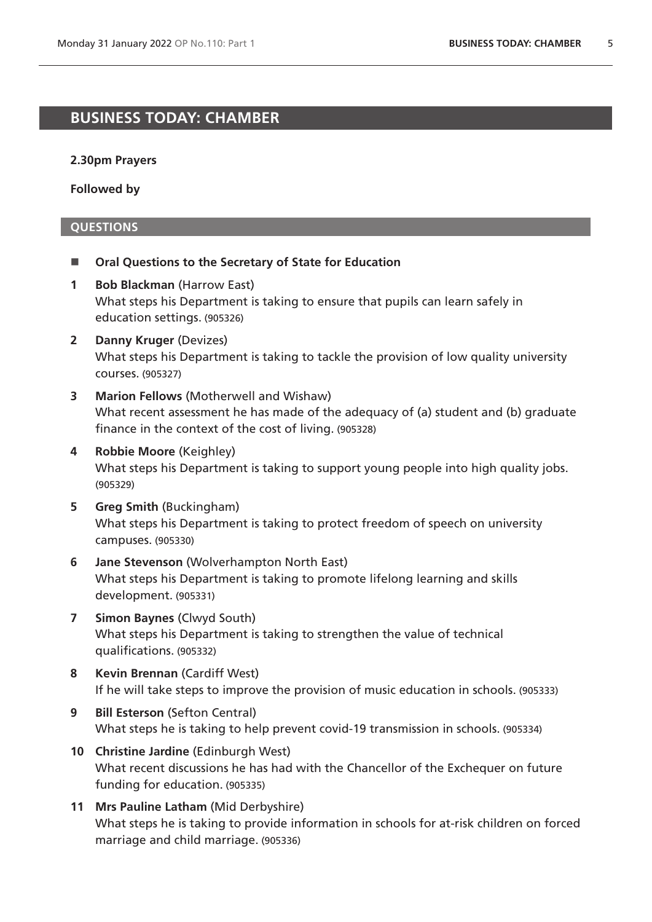# <span id="page-4-1"></span>**BUSINESS TODAY: CHAMBER**

#### **2.30pm Prayers**

**Followed by**

#### <span id="page-4-0"></span>**QUESTIONS**

- Oral Questions to the Secretary of State for Education
- **1 Bob Blackman** (Harrow East) What steps his Department is taking to ensure that pupils can learn safely in education settings. (905326)
- **2 Danny Kruger** (Devizes) What steps his Department is taking to tackle the provision of low quality university courses. (905327)
- **3 Marion Fellows** (Motherwell and Wishaw) What recent assessment he has made of the adequacy of (a) student and (b) graduate finance in the context of the cost of living. (905328)
- **4 Robbie Moore** (Keighley) What steps his Department is taking to support young people into high quality jobs. (905329)
- **5 Greg Smith** (Buckingham) What steps his Department is taking to protect freedom of speech on university campuses. (905330)
- **6 Jane Stevenson** (Wolverhampton North East) What steps his Department is taking to promote lifelong learning and skills development. (905331)
- **7 Simon Baynes** (Clwyd South) What steps his Department is taking to strengthen the value of technical qualifications. (905332)
- **8 Kevin Brennan** (Cardiff West) If he will take steps to improve the provision of music education in schools. (905333)
- **9 Bill Esterson** (Sefton Central) What steps he is taking to help prevent covid-19 transmission in schools. (905334)
- **10 Christine Jardine** (Edinburgh West) What recent discussions he has had with the Chancellor of the Exchequer on future funding for education. (905335)
- **11 Mrs Pauline Latham** (Mid Derbyshire) What steps he is taking to provide information in schools for at-risk children on forced marriage and child marriage. (905336)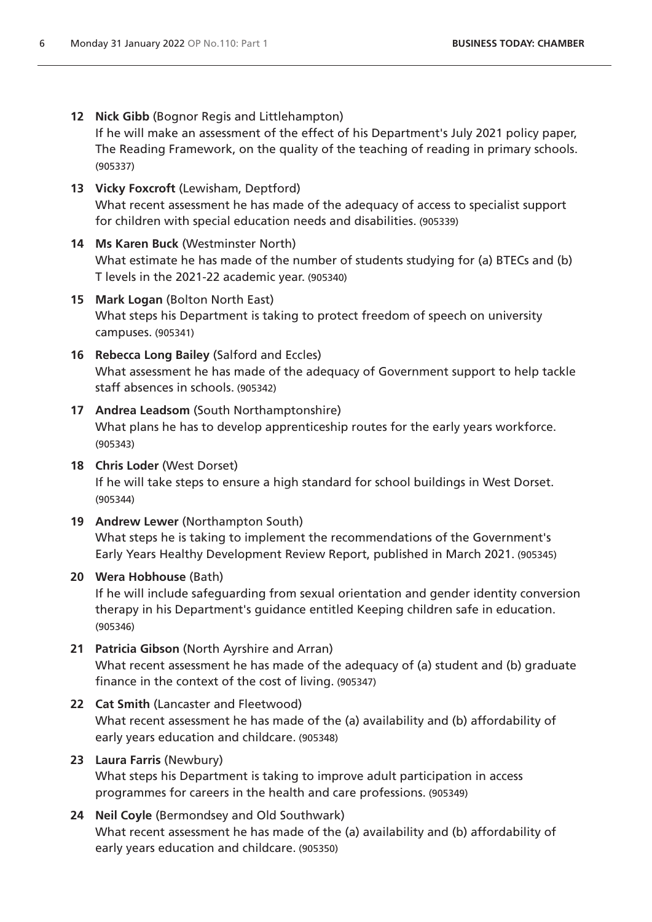- **12 Nick Gibb** (Bognor Regis and Littlehampton) If he will make an assessment of the effect of his Department's July 2021 policy paper, The Reading Framework, on the quality of the teaching of reading in primary schools. (905337)
- **13 Vicky Foxcroft** (Lewisham, Deptford) What recent assessment he has made of the adequacy of access to specialist support for children with special education needs and disabilities. (905339)
- **14 Ms Karen Buck** (Westminster North) What estimate he has made of the number of students studying for (a) BTECs and (b) T levels in the 2021-22 academic year. (905340)
- **15 Mark Logan** (Bolton North East) What steps his Department is taking to protect freedom of speech on university campuses. (905341)
- **16 Rebecca Long Bailey** (Salford and Eccles) What assessment he has made of the adequacy of Government support to help tackle staff absences in schools. (905342)
- **17 Andrea Leadsom** (South Northamptonshire) What plans he has to develop apprenticeship routes for the early years workforce. (905343)
- **18 Chris Loder** (West Dorset) If he will take steps to ensure a high standard for school buildings in West Dorset. (905344)
- **19 Andrew Lewer** (Northampton South) What steps he is taking to implement the recommendations of the Government's Early Years Healthy Development Review Report, published in March 2021. (905345)
- **20 Wera Hobhouse** (Bath)

If he will include safeguarding from sexual orientation and gender identity conversion therapy in his Department's guidance entitled Keeping children safe in education. (905346)

- **21 Patricia Gibson** (North Ayrshire and Arran) What recent assessment he has made of the adequacy of (a) student and (b) graduate finance in the context of the cost of living. (905347)
- **22 Cat Smith** (Lancaster and Fleetwood) What recent assessment he has made of the (a) availability and (b) affordability of early years education and childcare. (905348)

# **23 Laura Farris** (Newbury)

What steps his Department is taking to improve adult participation in access programmes for careers in the health and care professions. (905349)

**24 Neil Coyle** (Bermondsey and Old Southwark) What recent assessment he has made of the (a) availability and (b) affordability of early years education and childcare. (905350)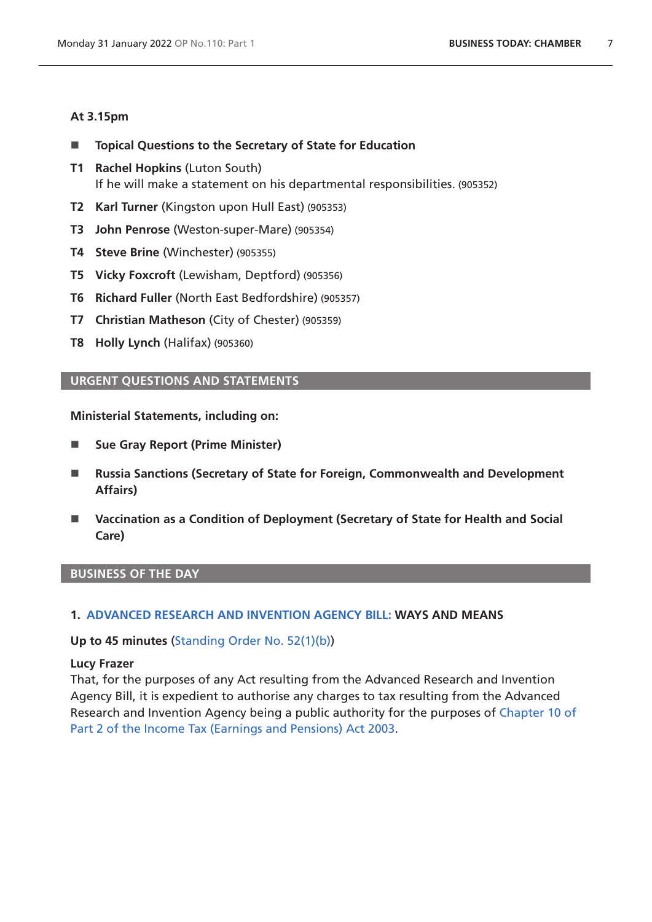## **At 3.15pm**

- **Topical Questions to the Secretary of State for Education**
- **T1 Rachel Hopkins** (Luton South) If he will make a statement on his departmental responsibilities. (905352)
- **T2 Karl Turner** (Kingston upon Hull East) (905353)
- **T3 John Penrose** (Weston-super-Mare) (905354)
- **T4 Steve Brine** (Winchester) (905355)
- **T5 Vicky Foxcroft** (Lewisham, Deptford) (905356)
- **T6 Richard Fuller** (North East Bedfordshire) (905357)
- **T7 Christian Matheson** (City of Chester) (905359)
- **T8 Holly Lynch** (Halifax) (905360)

# <span id="page-6-0"></span>**URGENT QUESTIONS AND STATEMENTS**

### **Ministerial Statements, including on:**

- Sue Gray Report (Prime Minister)
- Russia Sanctions (Secretary of State for Foreign, Commonwealth and Development **Affairs)**
- **Vaccination as a Condition of Deployment (Secretary of State for Health and Social Care)**

### **BUSINESS OF THE DAY**

### <span id="page-6-1"></span>**1. [ADVANCED RESEARCH AND INVENTION AGENCY BILL: WAYS AND MEANS](https://publications.parliament.uk/pa/bills/cbill/58-02/0224/220224.pdf)**

### **Up to 45 minutes** ([Standing Order No. 52\(1\)\(b\)](https://publications.parliament.uk/pa/cm5802/cmstords/so_804_2021/so-orders.html#so-52_1_b))

### **Lucy Frazer**

That, for the purposes of any Act resulting from the Advanced Research and Invention Agency Bill, it is expedient to authorise any charges to tax resulting from the Advanced Research and Invention Agency being a public authority for the purposes of [Chapter 10 of](https://www.legislation.gov.uk/ukpga/2003/1/part/2/chapter/10)  [Part 2 of the Income Tax \(Earnings and Pensions\) Act 2003.](https://www.legislation.gov.uk/ukpga/2003/1/part/2/chapter/10)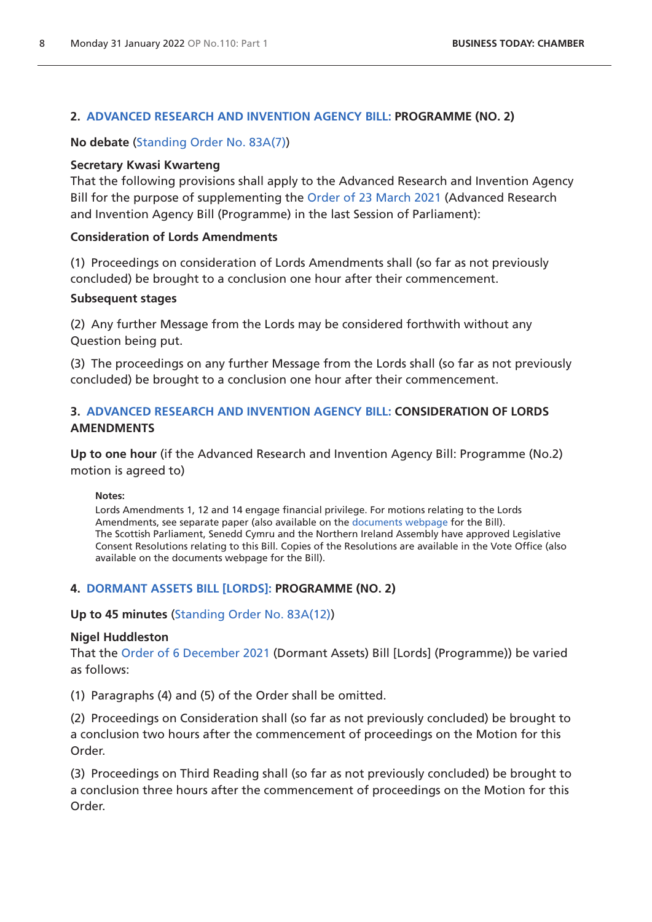# <span id="page-7-0"></span>**2. [ADVANCED RESEARCH AND INVENTION AGENCY BILL: PROGRAMME \(NO. 2\)](https://publications.parliament.uk/pa/bills/cbill/58-02/0224/220224.pdf)**

**No debate** ([Standing Order No. 83A\(7\)](https://publications.parliament.uk/pa/cm5802/cmstords/so_804_2021/so-orders.html#so-83A_7))

# **Secretary Kwasi Kwarteng**

That the following provisions shall apply to the Advanced Research and Invention Agency Bill for the purpose of supplementing the [Order of 23 March 2021](https://commonsbusiness.parliament.uk/document/46423/pdf) (Advanced Research and Invention Agency Bill (Programme) in the last Session of Parliament):

# **Consideration of Lords Amendments**

(1) Proceedings on consideration of Lords Amendments shall (so far as not previously concluded) be brought to a conclusion one hour after their commencement.

# **Subsequent stages**

(2) Any further Message from the Lords may be considered forthwith without any Question being put.

(3) The proceedings on any further Message from the Lords shall (so far as not previously concluded) be brought to a conclusion one hour after their commencement.

# **3. [ADVANCED RESEARCH AND INVENTION AGENCY BILL:](https://publications.parliament.uk/pa/bills/cbill/58-02/0224/220224.pdf) CONSIDERATION OF LORDS AMENDMENTS**

**Up to one hour** (if the Advanced Research and Invention Agency Bill: Programme (No.2) motion is agreed to)

<span id="page-7-1"></span>**Notes:**

Lords Amendments 1, 12 and 14 engage financial privilege. For motions relating to the Lords Amendments, see separate paper (also available on the [documents webpage](https://bills.parliament.uk/bills/2836/publications) for the Bill). The Scottish Parliament, Senedd Cymru and the Northern Ireland Assembly have approved Legislative Consent Resolutions relating to this Bill. Copies of the Resolutions are available in the Vote Office (also available on the documents webpage for the Bill).

# <span id="page-7-2"></span>**4. [DORMANT ASSETS BILL \[LORDS\]:](https://publications.parliament.uk/pa/bills/cbill/58-02/0226/210226.pdf) PROGRAMME (NO. 2)**

**Up to 45 minutes** ([Standing Order No. 83A\(12\)](https://publications.parliament.uk/pa/cm5802/cmstords/so_804_2021/so-orders.html#so-83A_12))

# **Nigel Huddleston**

That the [Order of 6 December 2021](https://commonsbusiness.parliament.uk/document/52405/pdf) (Dormant Assets) Bill [Lords] (Programme)) be varied as follows:

(1) Paragraphs (4) and (5) of the Order shall be omitted.

(2) Proceedings on Consideration shall (so far as not previously concluded) be brought to a conclusion two hours after the commencement of proceedings on the Motion for this Order.

(3) Proceedings on Third Reading shall (so far as not previously concluded) be brought to a conclusion three hours after the commencement of proceedings on the Motion for this Order.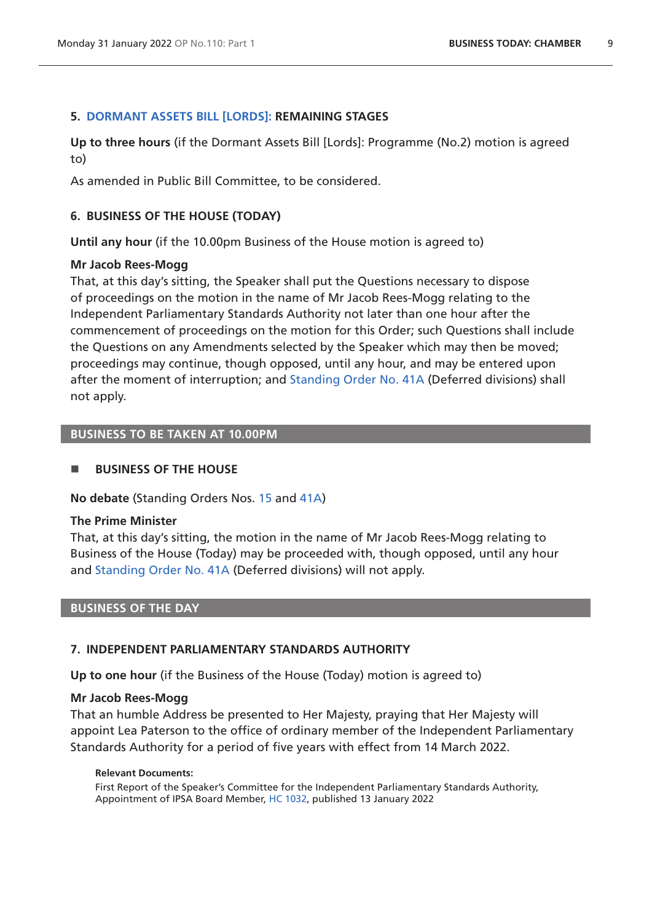## <span id="page-8-0"></span>**5. [DORMANT ASSETS BILL \[LORDS\]:](https://publications.parliament.uk/pa/bills/cbill/58-02/0226/210226.pdf) REMAINING STAGES**

**Up to three hours** (if the Dormant Assets Bill [Lords]: Programme (No.2) motion is agreed to)

As amended in Public Bill Committee, to be considered.

## <span id="page-8-1"></span>**6. BUSINESS OF THE HOUSE (TODAY)**

**Until any hour** (if the 10.00pm Business of the House motion is agreed to)

### **Mr Jacob Rees-Mogg**

That, at this day's sitting, the Speaker shall put the Questions necessary to dispose of proceedings on the motion in the name of Mr Jacob Rees-Mogg relating to the Independent Parliamentary Standards Authority not later than one hour after the commencement of proceedings on the motion for this Order; such Questions shall include the Questions on any Amendments selected by the Speaker which may then be moved; proceedings may continue, though opposed, until any hour, and may be entered upon after the moment of interruption; and [Standing Order No. 41A](https://publications.parliament.uk/pa/cm5802/cmstords/so_804_2021/so-orders.html#so-41A) (Deferred divisions) shall not apply.

# **BUSINESS TO BE TAKEN AT 10.00PM**

### **BUSINESS OF THE HOUSE**

**No debate** (Standing Orders Nos. [15](https://publications.parliament.uk/pa/cm5802/cmstords/so_804_2021/so-orders.html#so-15) and [41A](https://publications.parliament.uk/pa/cm5802/cmstords/so_804_2021/so-orders.html#so-41A))

### **The Prime Minister**

That, at this day's sitting, the motion in the name of Mr Jacob Rees-Mogg relating to Business of the House (Today) may be proceeded with, though opposed, until any hour and [Standing Order No. 41A](https://publications.parliament.uk/pa/cm5802/cmstords/so_804_2021/so-orders.html#so-41A) (Deferred divisions) will not apply.

### **BUSINESS OF THE DAY**

### <span id="page-8-2"></span>**7. INDEPENDENT PARLIAMENTARY STANDARDS AUTHORITY**

**Up to one hour** (if the Business of the House (Today) motion is agreed to)

### **Mr Jacob Rees-Mogg**

That an humble Address be presented to Her Majesty, praying that Her Majesty will appoint Lea Paterson to the office of ordinary member of the Independent Parliamentary Standards Authority for a period of five years with effect from 14 March 2022.

#### **Relevant Documents:**

First Report of the Speaker's Committee for the Independent Parliamentary Standards Authority, Appointment of IPSA Board Member, [HC 1032](https://committees.parliament.uk/publications/8440/documents/85635/default/), published 13 January 2022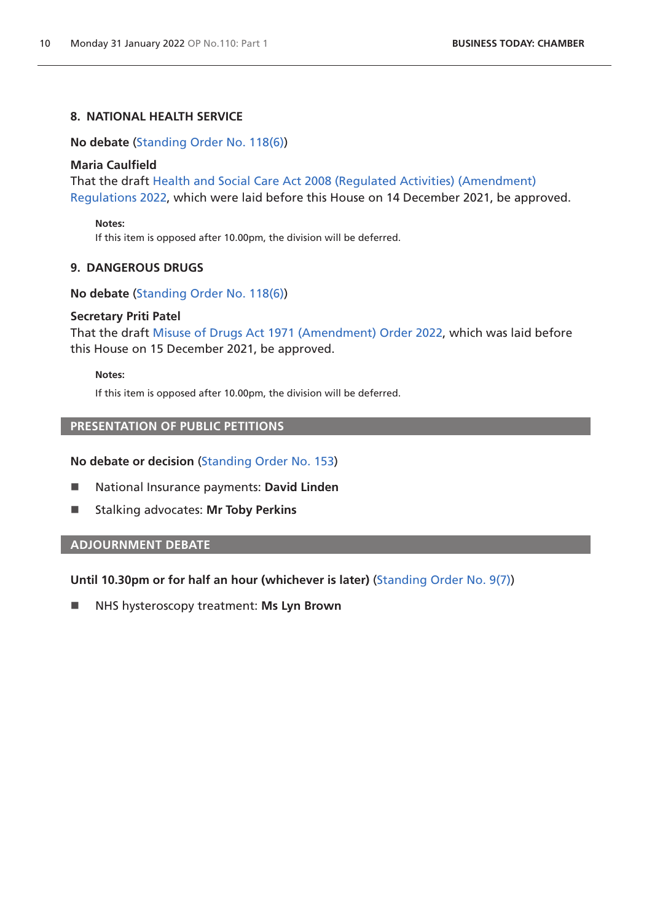# **8. NATIONAL HEALTH SERVICE**

<span id="page-9-0"></span>**No debate** ([Standing Order No. 118\(6\)](https://publications.parliament.uk/pa/cm5802/cmstords/so_804_2021/so-orders.html#so-118_6))

#### **Maria Caulfield**

That the draft [Health and Social Care Act 2008 \(Regulated Activities\) \(Amendment\)](https://www.legislation.gov.uk/ukdsi/2022/9780348230369/pdfs/ukdsi_9780348230369_en.pdf)  [Regulations 2022](https://www.legislation.gov.uk/ukdsi/2022/9780348230369/pdfs/ukdsi_9780348230369_en.pdf), which were laid before this House on 14 December 2021, be approved.

**Notes:**

If this item is opposed after 10.00pm, the division will be deferred.

### **9. DANGEROUS DRUGS**

**No debate** ([Standing Order No. 118\(6\)](https://publications.parliament.uk/pa/cm5802/cmstords/so_804_2021/so-orders.html#so-118_6))

#### **Secretary Priti Patel**

That the draft [Misuse of Drugs Act 1971 \(Amendment\) Order 2022](https://www.legislation.gov.uk/ukdsi/2022/9780348230321/pdfs/ukdsi_9780348230321_en.pdf), which was laid before this House on 15 December 2021, be approved.

#### **Notes:**

If this item is opposed after 10.00pm, the division will be deferred.

# <span id="page-9-1"></span>**PRESENTATION OF PUBLIC PETITIONS**

#### **No debate or decision** [\(Standing Order No. 153](https://publications.parliament.uk/pa/cm5802/cmstords/so_804_2021/so-orders.html#so-153))

- National Insurance payments: **David Linden**
- **E** Stalking advocates: Mr Toby Perkins

## <span id="page-9-2"></span>**ADJOURNMENT DEBATE**

**Until 10.30pm or for half an hour (whichever is later)** [\(Standing Order No. 9\(7\)\)](https://publications.parliament.uk/pa/cm5802/cmstords/so_804_2021/so-orders.html#so-9_7)

NHS hysteroscopy treatment: **Ms Lyn Brown**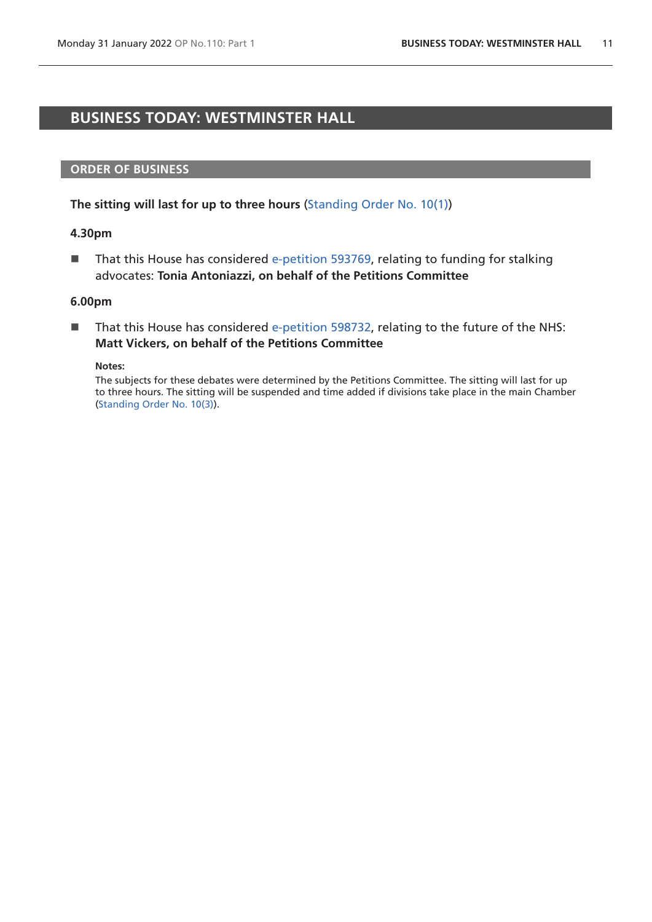# <span id="page-10-0"></span>**BUSINESS TODAY: WESTMINSTER HALL**

### **ORDER OF BUSINESS**

**The sitting will last for up to three hours** [\(Standing Order No. 10\(1\)](https://publications.parliament.uk/pa/cm5802/cmstords/so_804_2021/so-orders.html#so-10_1))

### **4.30pm**

That this House has considered [e-petition 593769,](https://petition.parliament.uk/petitions/593769) relating to funding for stalking advocates: **Tonia Antoniazzi, on behalf of the Petitions Committee**

#### **6.00pm**

■ That this House has considered [e-petition 598732,](https://petition.parliament.uk/petitions/598732) relating to the future of the NHS: **Matt Vickers, on behalf of the Petitions Committee**

**Notes:**

The subjects for these debates were determined by the Petitions Committee. The sitting will last for up to three hours. The sitting will be suspended and time added if divisions take place in the main Chamber [\(Standing Order No. 10\(3\)](https://publications.parliament.uk/pa/cm5802/cmstords/so_804_2021/so-orders.html#so-10_3)).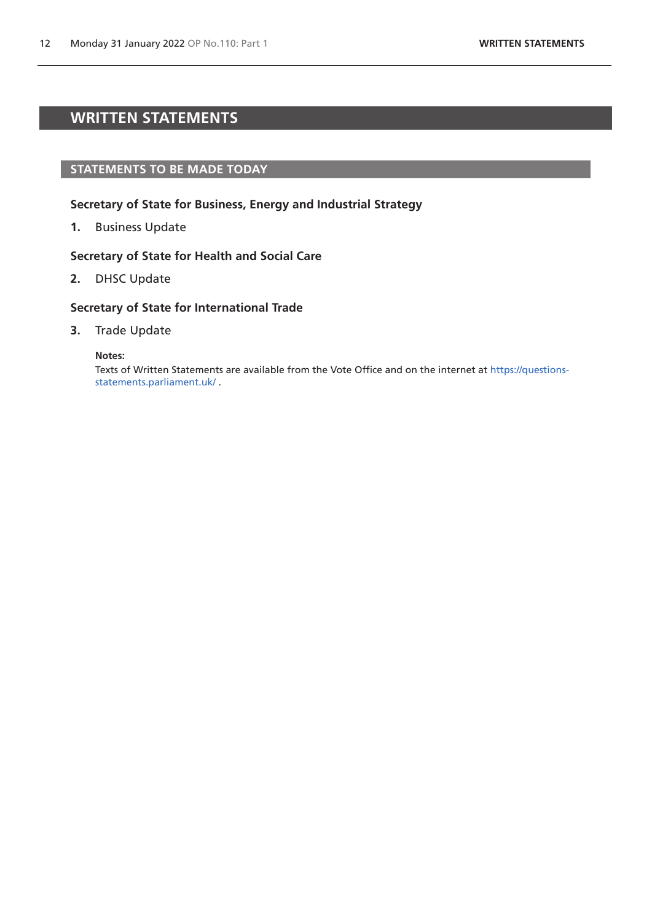# <span id="page-11-0"></span>**WRITTEN STATEMENTS**

### **STATEMENTS TO BE MADE TODAY**

### **Secretary of State for Business, Energy and Industrial Strategy**

**1.** Business Update

### **Secretary of State for Health and Social Care**

**2.** DHSC Update

### **Secretary of State for International Trade**

**3.** Trade Update

**Notes:**

Texts of Written Statements are available from the Vote Office and on the internet at [https://questions](https://questions-statements.parliament.uk/)[statements.parliament.uk/](https://questions-statements.parliament.uk/) .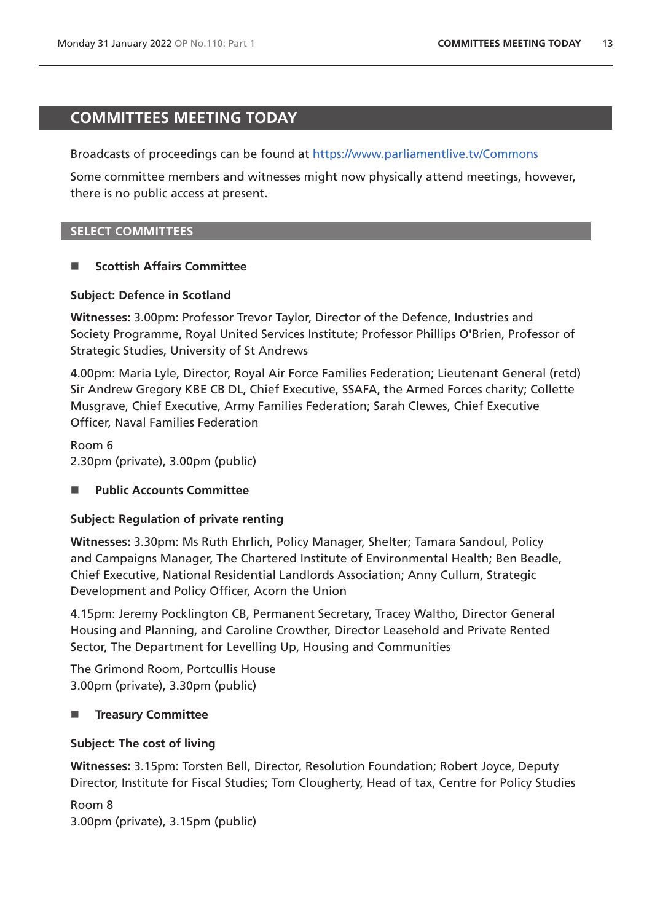# <span id="page-12-0"></span>**COMMITTEES MEETING TODAY**

Broadcasts of proceedings can be found at <https://www.parliamentlive.tv/Commons>

Some committee members and witnesses might now physically attend meetings, however, there is no public access at present.

# **SELECT COMMITTEES**

# **Scottish Affairs Committee**

### **Subject: Defence in Scotland**

**Witnesses:** 3.00pm: Professor Trevor Taylor, Director of the Defence, Industries and Society Programme, Royal United Services Institute; Professor Phillips O'Brien, Professor of Strategic Studies, University of St Andrews

4.00pm: Maria Lyle, Director, Royal Air Force Families Federation; Lieutenant General (retd) Sir Andrew Gregory KBE CB DL, Chief Executive, SSAFA, the Armed Forces charity; Collette Musgrave, Chief Executive, Army Families Federation; Sarah Clewes, Chief Executive Officer, Naval Families Federation

Room 6 2.30pm (private), 3.00pm (public)

# ■ Public Accounts Committee

# **Subject: Regulation of private renting**

**Witnesses:** 3.30pm: Ms Ruth Ehrlich, Policy Manager, Shelter; Tamara Sandoul, Policy and Campaigns Manager, The Chartered Institute of Environmental Health; Ben Beadle, Chief Executive, National Residential Landlords Association; Anny Cullum, Strategic Development and Policy Officer, Acorn the Union

4.15pm: Jeremy Pocklington CB, Permanent Secretary, Tracey Waltho, Director General Housing and Planning, and Caroline Crowther, Director Leasehold and Private Rented Sector, The Department for Levelling Up, Housing and Communities

The Grimond Room, Portcullis House 3.00pm (private), 3.30pm (public)

# **Treasury Committee**

# **Subject: The cost of living**

**Witnesses:** 3.15pm: Torsten Bell, Director, Resolution Foundation; Robert Joyce, Deputy Director, Institute for Fiscal Studies; Tom Clougherty, Head of tax, Centre for Policy Studies

Room 8 3.00pm (private), 3.15pm (public)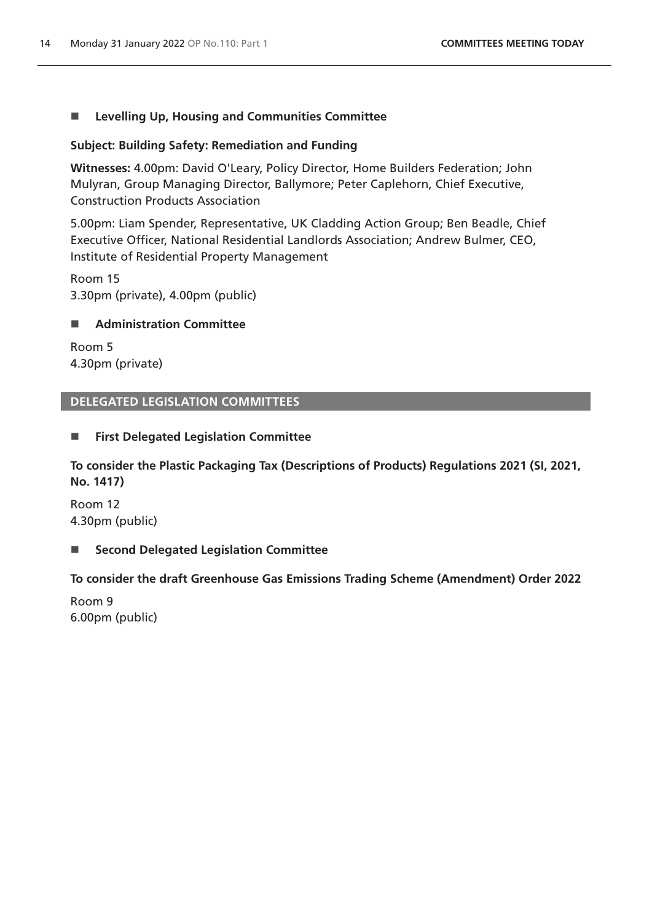# ■ Levelling Up, Housing and Communities Committee

# **Subject: Building Safety: Remediation and Funding**

**Witnesses:** 4.00pm: David O'Leary, Policy Director, Home Builders Federation; John Mulyran, Group Managing Director, Ballymore; Peter Caplehorn, Chief Executive, Construction Products Association

5.00pm: Liam Spender, Representative, UK Cladding Action Group; Ben Beadle, Chief Executive Officer, National Residential Landlords Association; Andrew Bulmer, CEO, Institute of Residential Property Management

Room 15 3.30pm (private), 4.00pm (public)

# **Administration Committee**

Room 5 4.30pm (private)

# **DELEGATED LEGISLATION COMMITTEES**

# **First Delegated Legislation Committee**

**To consider the Plastic Packaging Tax (Descriptions of Products) Regulations 2021 (SI, 2021, No. 1417)**

Room 12 4.30pm (public)

# ■ Second Delegated Legislation Committee

**To consider the draft Greenhouse Gas Emissions Trading Scheme (Amendment) Order 2022**

Room 9 6.00pm (public)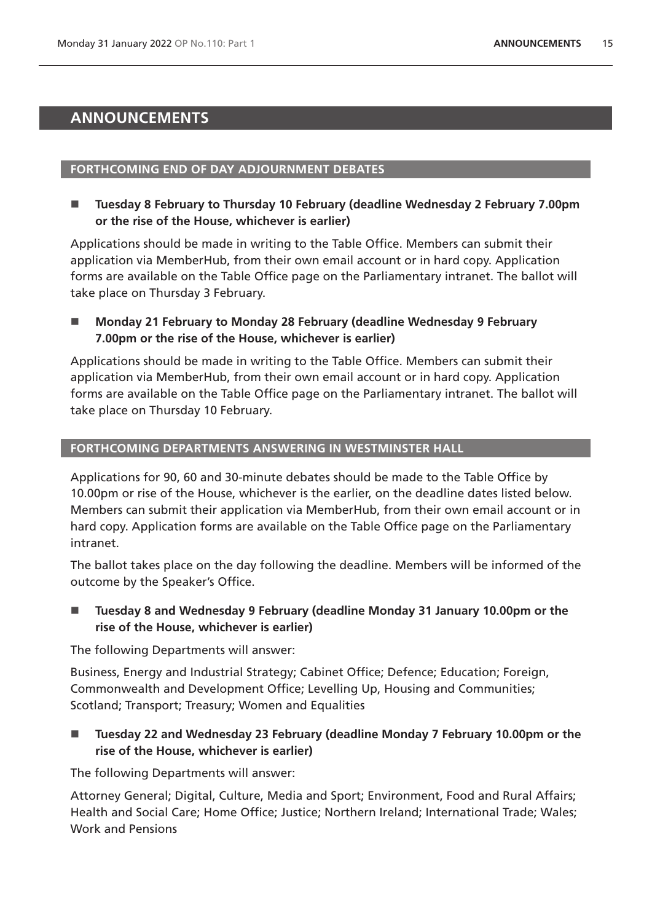# <span id="page-14-0"></span>**ANNOUNCEMENTS**

### **FORTHCOMING END OF DAY ADJOURNMENT DEBATES**

 **Tuesday 8 February to Thursday 10 February (deadline Wednesday 2 February 7.00pm or the rise of the House, whichever is earlier)**

Applications should be made in writing to the Table Office. Members can submit their application via MemberHub, from their own email account or in hard copy. Application forms are available on the Table Office page on the Parliamentary intranet. The ballot will take place on Thursday 3 February.

■ Monday 21 February to Monday 28 February (deadline Wednesday 9 February **7.00pm or the rise of the House, whichever is earlier)**

Applications should be made in writing to the Table Office. Members can submit their application via MemberHub, from their own email account or in hard copy. Application forms are available on the Table Office page on the Parliamentary intranet. The ballot will take place on Thursday 10 February.

### **FORTHCOMING DEPARTMENTS ANSWERING IN WESTMINSTER HALL**

Applications for 90, 60 and 30-minute debates should be made to the Table Office by 10.00pm or rise of the House, whichever is the earlier, on the deadline dates listed below. Members can submit their application via MemberHub, from their own email account or in hard copy. Application forms are available on the Table Office page on the Parliamentary intranet.

The ballot takes place on the day following the deadline. Members will be informed of the outcome by the Speaker's Office.

# ■ Tuesday 8 and Wednesday 9 February (deadline Monday 31 January 10.00pm or the **rise of the House, whichever is earlier)**

The following Departments will answer:

Business, Energy and Industrial Strategy; Cabinet Office; Defence; Education; Foreign, Commonwealth and Development Office; Levelling Up, Housing and Communities; Scotland; Transport; Treasury; Women and Equalities

■ Tuesday 22 and Wednesday 23 February (deadline Monday 7 February 10.00pm or the **rise of the House, whichever is earlier)**

The following Departments will answer:

Attorney General; Digital, Culture, Media and Sport; Environment, Food and Rural Affairs; Health and Social Care; Home Office; Justice; Northern Ireland; International Trade; Wales; Work and Pensions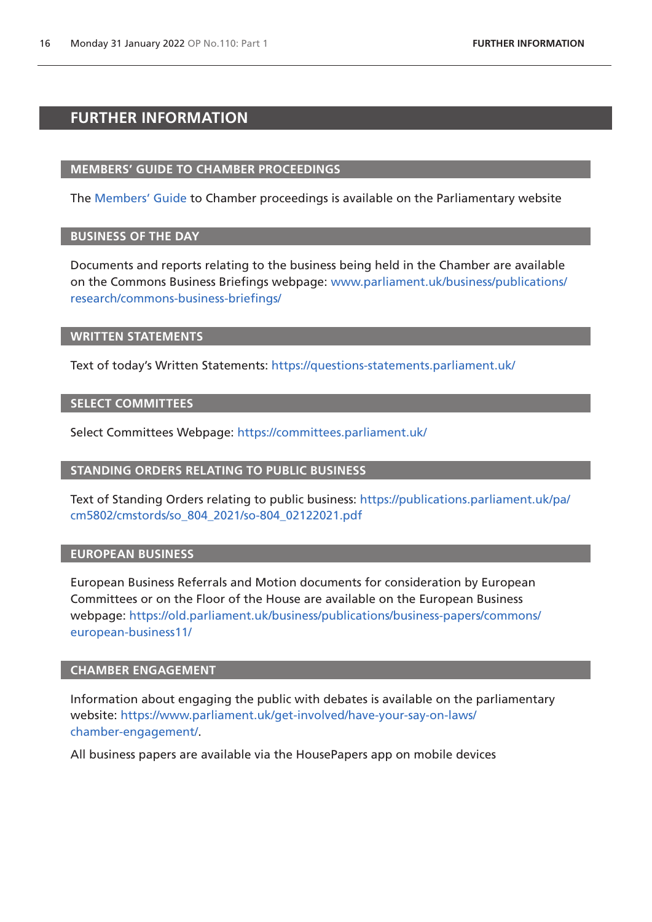# <span id="page-15-0"></span>**FURTHER INFORMATION**

### **MEMBERS' GUIDE TO CHAMBER PROCEEDINGS**

The [Members' Guide](https://guidetoprocedure.parliament.uk/mps-guide-to-procedure) to Chamber proceedings is available on the Parliamentary website

### **BUSINESS OF THE DAY**

Documents and reports relating to the business being held in the Chamber are available on the Commons Business Briefings webpage: [www.parliament.uk/business/publications/](http://www.parliament.uk/business/publications/research/commons-business-briefings/) [research/commons-business-briefings/](http://www.parliament.uk/business/publications/research/commons-business-briefings/)

#### **WRITTEN STATEMENTS**

Text of today's Written Statements:<https://questions-statements.parliament.uk/>

### **SELECT COMMITTEES**

Select Committees Webpage: <https://committees.parliament.uk/>

### **STANDING ORDERS RELATING TO PUBLIC BUSINESS**

Text of Standing Orders relating to public business: [https://publications.parliament.uk/pa/](https://publications.parliament.uk/pa/cm5802/cmstords/so_804_2021/so-804_02122021.pdf) [cm5802/cmstords/so\\_804\\_2021/so-804\\_02122021.pdf](https://publications.parliament.uk/pa/cm5802/cmstords/so_804_2021/so-804_02122021.pdf)

### **EUROPEAN BUSINESS**

European Business Referrals and Motion documents for consideration by European Committees or on the Floor of the House are available on the European Business webpage: [https://old.parliament.uk/business/publications/business-papers/commons/](https://old.parliament.uk/business/publications/business-papers/commons/european-business11/) [european-business11/](https://old.parliament.uk/business/publications/business-papers/commons/european-business11/)

### **CHAMBER ENGAGEMENT**

Information about engaging the public with debates is available on the parliamentary website: [https://www.parliament.uk/get-involved/have-your-say-on-laws/](https://www.parliament.uk/get-involved/have-your-say-on-laws/chamber-engagement/) [chamber-engagement/.](https://www.parliament.uk/get-involved/have-your-say-on-laws/chamber-engagement/)

All business papers are available via the HousePapers app on mobile devices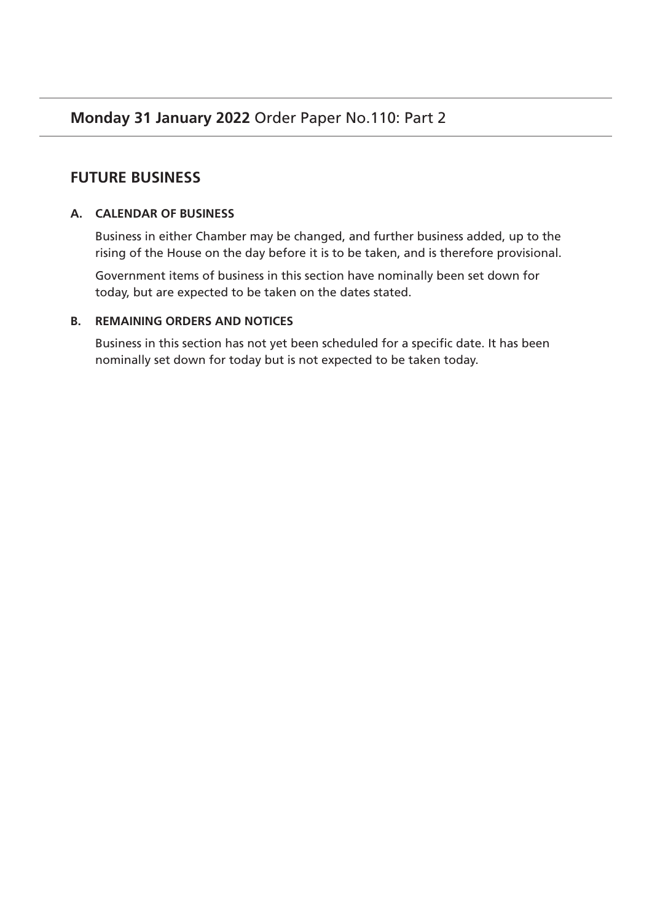# **FUTURE BUSINESS**

# **A. CALENDAR OF BUSINESS**

Business in either Chamber may be changed, and further business added, up to the rising of the House on the day before it is to be taken, and is therefore provisional.

Government items of business in this section have nominally been set down for today, but are expected to be taken on the dates stated.

# **B. REMAINING ORDERS AND NOTICES**

Business in this section has not yet been scheduled for a specific date. It has been nominally set down for today but is not expected to be taken today.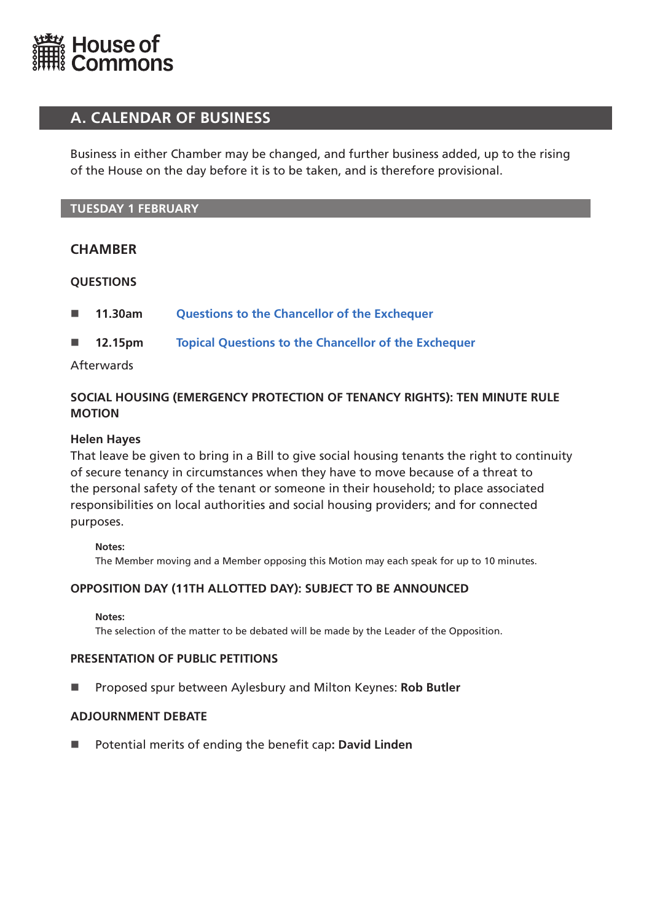<span id="page-17-0"></span>

# **A. CALENDAR OF BUSINESS**

Business in either Chamber may be changed, and further business added, up to the rising of the House on the day before it is to be taken, and is therefore provisional.

# **TUESDAY 1 FEBRUARY**

# **CHAMBER**

# **QUESTIONS**

- **11.30am [Questions to the Chancellor of the Exchequer](https://commonsbusiness.parliament.uk/document/53846/html#anchor-1)**
- **12.15pm [Topical Questions to the Chancellor of the Exchequer](https://commonsbusiness.parliament.uk/document/53846/html#anchor-2)**

# Afterwards

# **SOCIAL HOUSING (EMERGENCY PROTECTION OF TENANCY RIGHTS): TEN MINUTE RULE MOTION**

### **Helen Hayes**

That leave be given to bring in a Bill to give social housing tenants the right to continuity of secure tenancy in circumstances when they have to move because of a threat to the personal safety of the tenant or someone in their household; to place associated responsibilities on local authorities and social housing providers; and for connected purposes.

### **Notes:**

The Member moving and a Member opposing this Motion may each speak for up to 10 minutes.

# **OPPOSITION DAY (11TH ALLOTTED DAY): SUBJECT TO BE ANNOUNCED**

#### **Notes:**

The selection of the matter to be debated will be made by the Leader of the Opposition.

### **PRESENTATION OF PUBLIC PETITIONS**

Proposed spur between Aylesbury and Milton Keynes: **Rob Butler**

### **ADJOURNMENT DEBATE**

■ Potential merits of ending the benefit cap: David Linden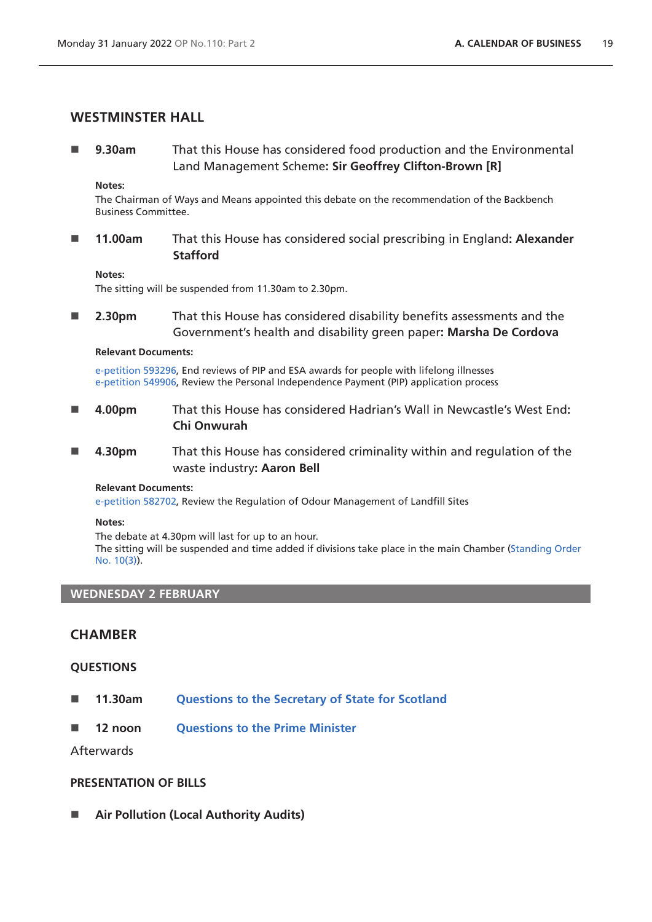# <span id="page-18-0"></span>**WESTMINSTER HALL**

 **9.30am** That this House has considered food production and the Environmental Land Management Scheme**: Sir Geoffrey Clifton-Brown [R]**

#### **Notes:**

The Chairman of Ways and Means appointed this debate on the recommendation of the Backbench Business Committee.

 **11.00am** That this House has considered social prescribing in England**: Alexander Stafford**

#### **Notes:**

The sitting will be suspended from 11.30am to 2.30pm.

 **2.30pm** That this House has considered disability benefits assessments and the Government's health and disability green paper**: Marsha De Cordova**

#### **Relevant Documents:**

[e-petition 593296](https://petition.parliament.uk/petitions/593296), End reviews of PIP and ESA awards for people with lifelong illnesses [e-petition 549906](https://petition.parliament.uk/petitions/549906), Review the Personal Independence Payment (PIP) application process

- **4.00pm** That this House has considered Hadrian's Wall in Newcastle's West End**: Chi Onwurah**
- **4.30pm** That this House has considered criminality within and regulation of the waste industry**: Aaron Bell**

#### **Relevant Documents:**

[e-petition 582702](https://petition.parliament.uk/petitions/582702), Review the Regulation of Odour Management of Landfill Sites

#### **Notes:**

The debate at 4.30pm will last for up to an hour. The sitting will be suspended and time added if divisions take place in the main Chamber [\(Standing Order](https://publications.parliament.uk/pa/cm5802/cmstords/so_804_2021/so-orders.html#so-10_3)  [No. 10\(3\)](https://publications.parliament.uk/pa/cm5802/cmstords/so_804_2021/so-orders.html#so-10_3)).

### **WEDNESDAY 2 FEBRUARY**

# **CHAMBER**

### **QUESTIONS**

- **11.30am [Questions to the Secretary of State for Scotland](https://commonsbusiness.parliament.uk/document/53846/html#anchor-4)**
- **12 noon [Questions to the Prime Minister](https://commonsbusiness.parliament.uk/document/53846/html#anchor-5)**

Afterwards

### **PRESENTATION OF BILLS**

**Air Pollution (Local Authority Audits)**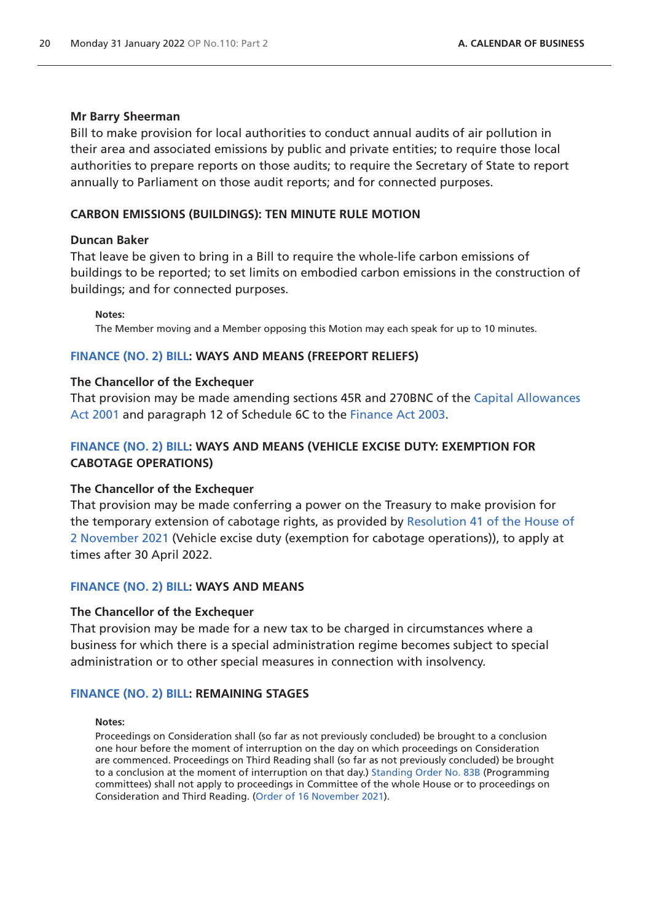#### **Mr Barry Sheerman**

Bill to make provision for local authorities to conduct annual audits of air pollution in their area and associated emissions by public and private entities; to require those local authorities to prepare reports on those audits; to require the Secretary of State to report annually to Parliament on those audit reports; and for connected purposes.

#### **CARBON EMISSIONS (BUILDINGS): TEN MINUTE RULE MOTION**

#### **Duncan Baker**

That leave be given to bring in a Bill to require the whole-life carbon emissions of buildings to be reported; to set limits on embodied carbon emissions in the construction of buildings; and for connected purposes.

**Notes:**

The Member moving and a Member opposing this Motion may each speak for up to 10 minutes.

#### **[FINANCE \(NO. 2\) BILL:](https://publications.parliament.uk/pa/bills/cbill/58-02/0225/210225.pdf) WAYS AND MEANS (FREEPORT RELIEFS)**

#### **The Chancellor of the Exchequer**

That provision may be made amending sections 45R and 270BNC of the [Capital Allowances](https://www.legislation.gov.uk/ukpga/2001/2/contents)  [Act 2001](https://www.legislation.gov.uk/ukpga/2001/2/contents) and paragraph 12 of Schedule 6C to the [Finance Act 2003.](https://www.legislation.gov.uk/ukpga/2003/14/contents)

## **[FINANCE \(NO. 2\) BILL:](https://publications.parliament.uk/pa/bills/cbill/58-02/0225/210225.pdf) WAYS AND MEANS (VEHICLE EXCISE DUTY: EXEMPTION FOR CABOTAGE OPERATIONS)**

#### **The Chancellor of the Exchequer**

That provision may be made conferring a power on the Treasury to make provision for the temporary extension of cabotage rights, as provided by [Resolution 41 of the House of](https://commonsbusiness.parliament.uk/document/51270/pdf)  [2 November 2021](https://commonsbusiness.parliament.uk/document/51270/pdf) (Vehicle excise duty (exemption for cabotage operations)), to apply at times after 30 April 2022.

#### **[FINANCE \(NO. 2\) BILL:](https://publications.parliament.uk/pa/bills/cbill/58-02/0225/210225.pdf) WAYS AND MEANS**

#### **The Chancellor of the Exchequer**

That provision may be made for a new tax to be charged in circumstances where a business for which there is a special administration regime becomes subject to special administration or to other special measures in connection with insolvency.

#### **[FINANCE \(NO. 2\) BILL:](https://publications.parliament.uk/pa/bills/cbill/58-02/0225/210225.pdf) REMAINING STAGES**

#### **Notes:**

Proceedings on Consideration shall (so far as not previously concluded) be brought to a conclusion one hour before the moment of interruption on the day on which proceedings on Consideration are commenced. Proceedings on Third Reading shall (so far as not previously concluded) be brought to a conclusion at the moment of interruption on that day.) [Standing Order No. 83B](https://publications.parliament.uk/pa/cm5802/cmstords/so_804_2021/so-orders.html#so-83B) (Programming committees) shall not apply to proceedings in Committee of the whole House or to proceedings on Consideration and Third Reading. ([Order of 16 November 2021\)](https://commonsbusiness.parliament.uk/document/51667/pdf).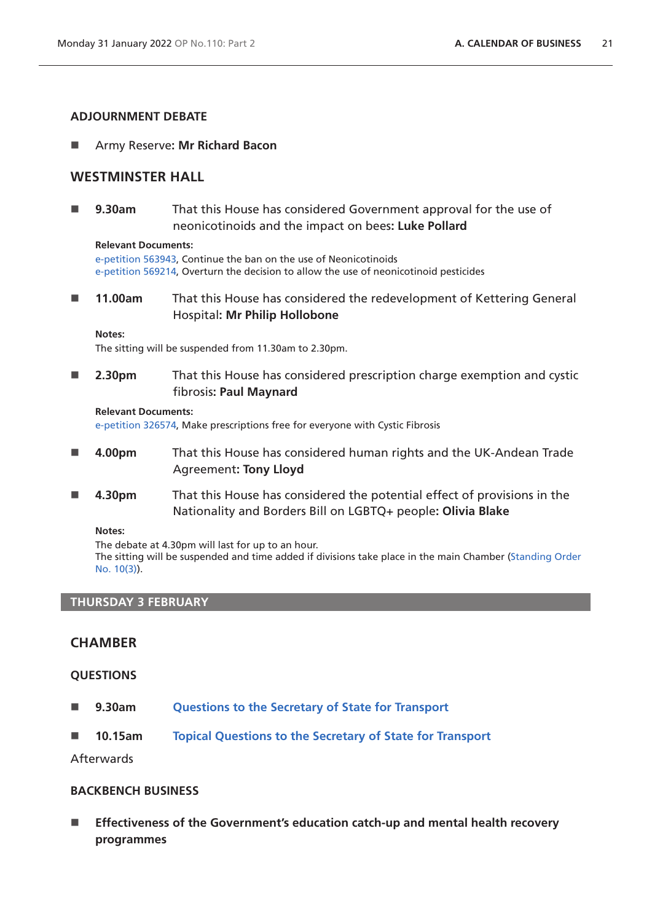### **ADJOURNMENT DEBATE**

Army Reserve**: Mr Richard Bacon**

# **WESTMINSTER HALL**

 **9.30am** That this House has considered Government approval for the use of neonicotinoids and the impact on bees**: Luke Pollard**

#### **Relevant Documents:**

[e-petition 563943](https://petition.parliament.uk/petitions/563943), Continue the ban on the use of Neonicotinoids [e-petition 569214](https://petition.parliament.uk/petitions/569214), Overturn the decision to allow the use of neonicotinoid pesticides

 **11.00am** That this House has considered the redevelopment of Kettering General Hospital**: Mr Philip Hollobone**

#### **Notes:**

The sitting will be suspended from 11.30am to 2.30pm.

■ 2.30pm That this House has considered prescription charge exemption and cystic fibrosis**: Paul Maynard**

#### **Relevant Documents:**

[e-petition 326574](https://petition.parliament.uk/petitions/326574), Make prescriptions free for everyone with Cystic Fibrosis

- **4.00pm** That this House has considered human rights and the UK-Andean Trade Agreement**: Tony Lloyd**
- **4.30pm** That this House has considered the potential effect of provisions in the Nationality and Borders Bill on LGBTQ+ people**: Olivia Blake**

**Notes:**

The debate at 4.30pm will last for up to an hour.

The sitting will be suspended and time added if divisions take place in the main Chamber [\(Standing Order](https://publications.parliament.uk/pa/cm5802/cmstords/so_804_2021/so-orders.html#so-10_3)  [No. 10\(3\)](https://publications.parliament.uk/pa/cm5802/cmstords/so_804_2021/so-orders.html#so-10_3)).

### **THURSDAY 3 FEBRUARY**

# **CHAMBER**

### **QUESTIONS**

- **9.30am [Questions to the Secretary of State for Transport](https://commonsbusiness.parliament.uk/document/53846/html#anchor-7)**
- **10.15am [Topical Questions to the Secretary of State for Transport](https://commonsbusiness.parliament.uk/document/53846/html#anchor-8)**

Afterwards

### **BACKBENCH BUSINESS**

 **Effectiveness of the Government's education catch-up and mental health recovery programmes**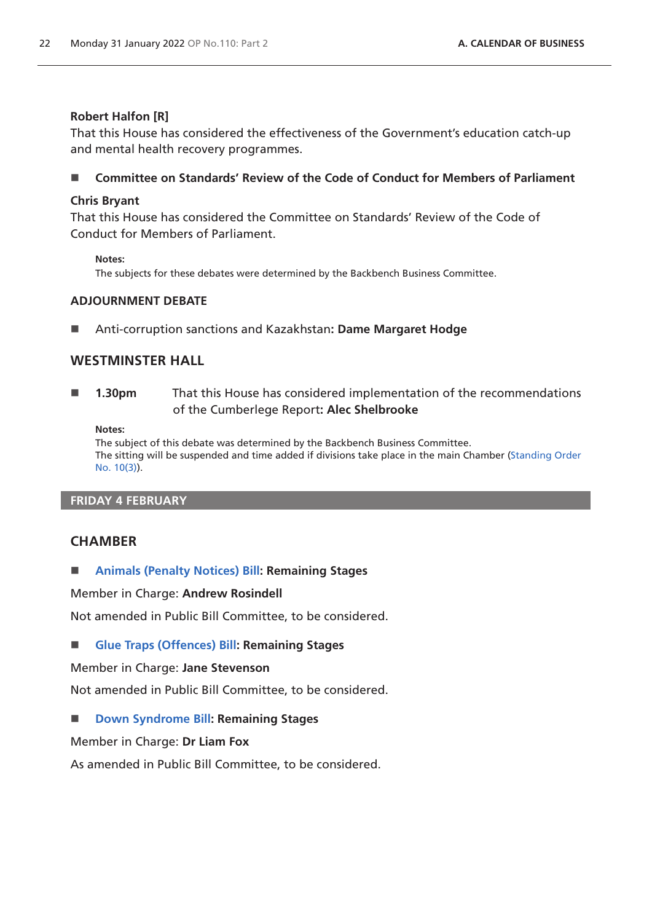# **Robert Halfon [R]**

That this House has considered the effectiveness of the Government's education catch-up and mental health recovery programmes.

# **Committee on Standards' Review of the Code of Conduct for Members of Parliament**

# **Chris Bryant**

That this House has considered the Committee on Standards' Review of the Code of Conduct for Members of Parliament.

**Notes:**

The subjects for these debates were determined by the Backbench Business Committee.

# **ADJOURNMENT DEBATE**

Anti-corruption sanctions and Kazakhstan**: Dame Margaret Hodge**

# **WESTMINSTER HALL**

 **1.30pm** That this House has considered implementation of the recommendations of the Cumberlege Report**: Alec Shelbrooke**

**Notes:**

The subject of this debate was determined by the Backbench Business Committee. The sitting will be suspended and time added if divisions take place in the main Chamber [\(Standing Order](https://publications.parliament.uk/pa/cm5802/cmstords/so_804_2021/so-orders.html#so-10_3)  [No. 10\(3\)](https://publications.parliament.uk/pa/cm5802/cmstords/so_804_2021/so-orders.html#so-10_3)).

# **FRIDAY 4 FEBRUARY**

# **CHAMBER**

**[Animals \(Penalty Notices\) Bill](https://publications.parliament.uk/pa/bills/cbill/58-02/0032/210032.pdf): Remaining Stages**

Member in Charge: **Andrew Rosindell**

Not amended in Public Bill Committee, to be considered.

**[Glue Traps \(Offences\) Bill:](https://publications.parliament.uk/pa/bills/cbill/58-02/0027/210027.pdf) Remaining Stages**

Member in Charge: **Jane Stevenson**

Not amended in Public Bill Committee, to be considered.

■ **[Down Syndrome Bill:](https://publications.parliament.uk/pa/bills/cbill/58-02/0240/210240.pdf) Remaining Stages** 

Member in Charge: **Dr Liam Fox**

As amended in Public Bill Committee, to be considered.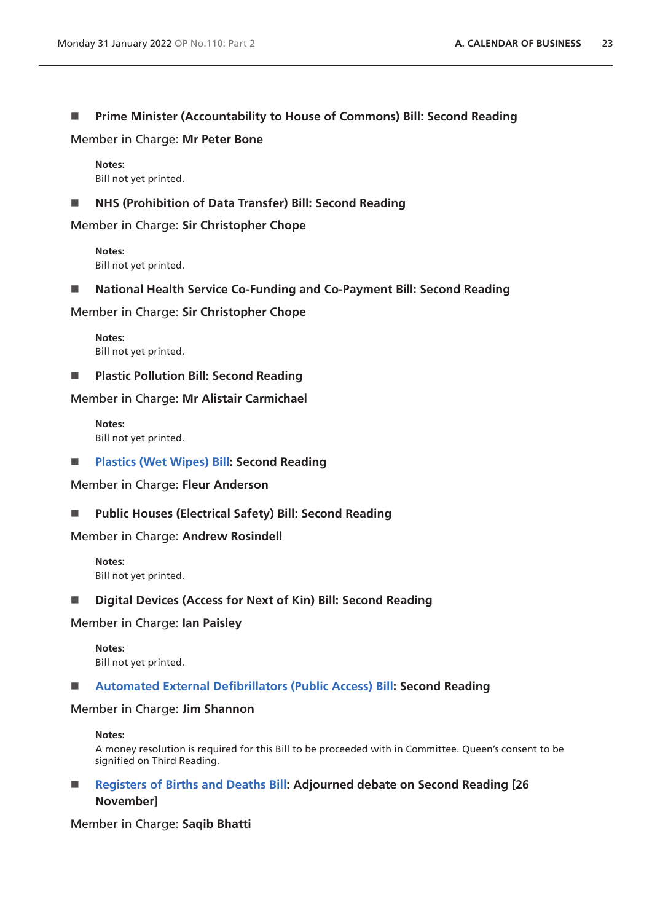### **Prime Minister (Accountability to House of Commons) Bill: Second Reading**

Member in Charge: **Mr Peter Bone**

**Notes:** Bill not yet printed.

### **NHS (Prohibition of Data Transfer) Bill: Second Reading**

Member in Charge: **Sir Christopher Chope**

**Notes:** Bill not yet printed.

**National Health Service Co-Funding and Co-Payment Bill: Second Reading**

Member in Charge: **Sir Christopher Chope**

**Notes:** Bill not yet printed.

**Plastic Pollution Bill: Second Reading**

Member in Charge: **Mr Alistair Carmichael**

**Notes:** Bill not yet printed.

**[Plastics \(Wet Wipes\) Bill:](https://publications.parliament.uk/pa/bills/cbill/58-02/0182/210182.pdf) Second Reading**

Member in Charge: **Fleur Anderson**

**Public Houses (Electrical Safety) Bill: Second Reading**

### Member in Charge: **Andrew Rosindell**

**Notes:** Bill not yet printed.

**Digital Devices (Access for Next of Kin) Bill: Second Reading**

#### Member in Charge: **Ian Paisley**

**Notes:** Bill not yet printed.

#### **[Automated External Defibrillators \(Public Access\) Bill](https://publications.parliament.uk/pa/bills/cbill/58-01/0222/200222.pdf): Second Reading**

#### Member in Charge: **Jim Shannon**

#### **Notes:**

A money resolution is required for this Bill to be proceeded with in Committee. Queen's consent to be signified on Third Reading.

■ **[Registers of Births and Deaths Bill:](https://publications.parliament.uk/pa/bills/cbill/58-02/0034/210034.pdf) Adjourned debate on Second Reading [26 November]**

Member in Charge: **Saqib Bhatti**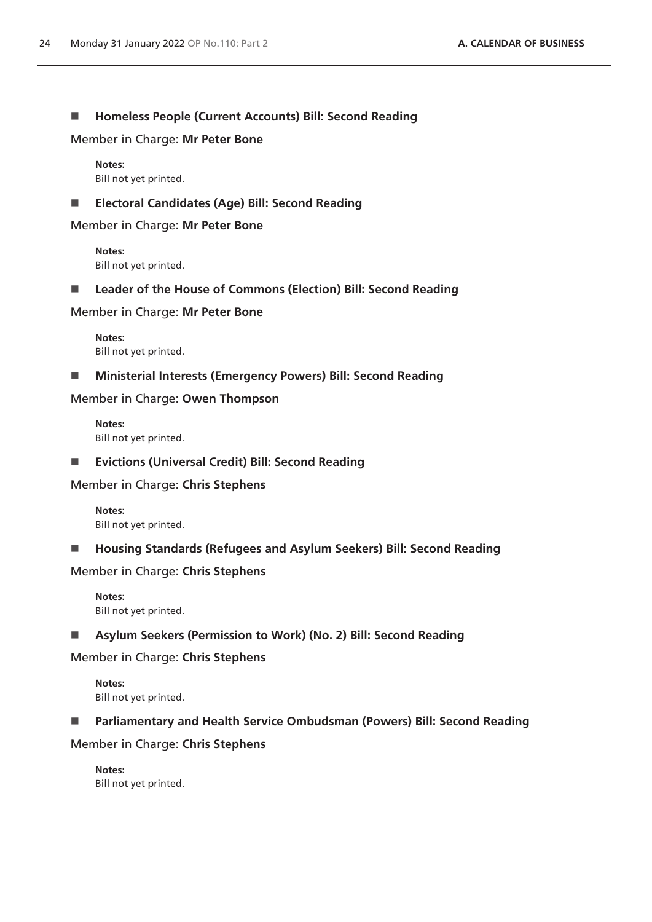### **Homeless People (Current Accounts) Bill: Second Reading**

Member in Charge: **Mr Peter Bone**

**Notes:** Bill not yet printed.

### **Electoral Candidates (Age) Bill: Second Reading**

Member in Charge: **Mr Peter Bone**

**Notes:** Bill not yet printed.

■ Leader of the House of Commons (Election) Bill: Second Reading

Member in Charge: **Mr Peter Bone**

**Notes:** Bill not yet printed.

**Ministerial Interests (Emergency Powers) Bill: Second Reading**

Member in Charge: **Owen Thompson**

**Notes:** Bill not yet printed.

**Evictions (Universal Credit) Bill: Second Reading**

Member in Charge: **Chris Stephens**

**Notes:** Bill not yet printed.

**Housing Standards (Refugees and Asylum Seekers) Bill: Second Reading**

Member in Charge: **Chris Stephens**

**Notes:** Bill not yet printed.

**Asylum Seekers (Permission to Work) (No. 2) Bill: Second Reading**

Member in Charge: **Chris Stephens**

**Notes:** Bill not yet printed.

**Parliamentary and Health Service Ombudsman (Powers) Bill: Second Reading**

Member in Charge: **Chris Stephens**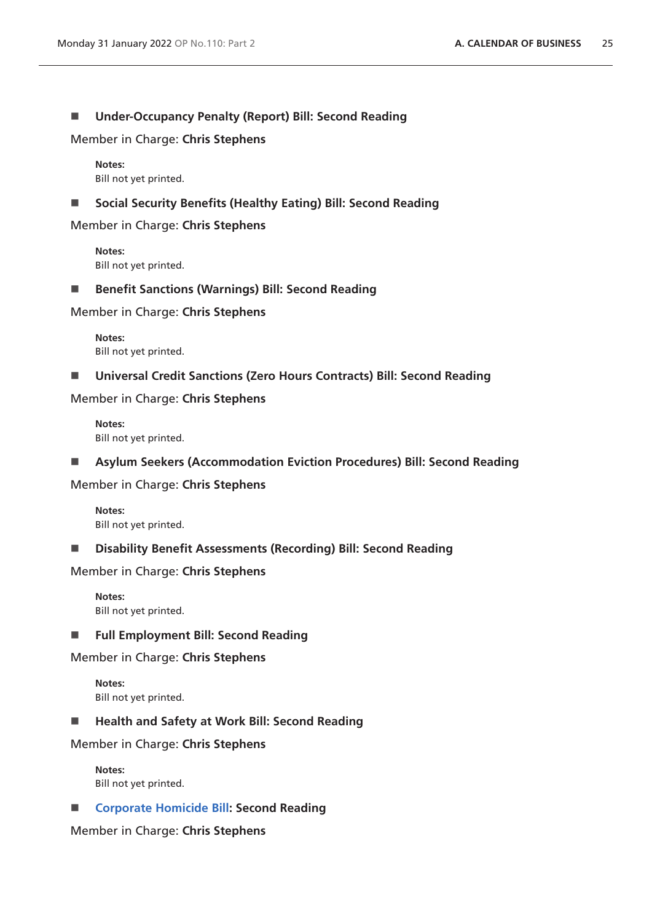### **Under-Occupancy Penalty (Report) Bill: Second Reading**

Member in Charge: **Chris Stephens**

**Notes:** Bill not yet printed.

**Social Security Benefits (Healthy Eating) Bill: Second Reading**

Member in Charge: **Chris Stephens**

**Notes:** Bill not yet printed.

■ Benefit Sanctions (Warnings) Bill: Second Reading

Member in Charge: **Chris Stephens**

**Notes:** Bill not yet printed.

**Universal Credit Sanctions (Zero Hours Contracts) Bill: Second Reading**

Member in Charge: **Chris Stephens**

**Notes:** Bill not yet printed.

**Asylum Seekers (Accommodation Eviction Procedures) Bill: Second Reading**

Member in Charge: **Chris Stephens**

**Notes:** Bill not yet printed.

**Disability Benefit Assessments (Recording) Bill: Second Reading**

Member in Charge: **Chris Stephens**

**Notes:** Bill not yet printed.

**Full Employment Bill: Second Reading**

Member in Charge: **Chris Stephens**

**Notes:** Bill not yet printed.

■ Health and Safety at Work Bill: Second Reading

Member in Charge: **Chris Stephens**

**Notes:** Bill not yet printed.

■ **[Corporate Homicide Bill](https://publications.parliament.uk/pa/bills/cbill/58-02/0046/210046.pdf): Second Reading** 

Member in Charge: **Chris Stephens**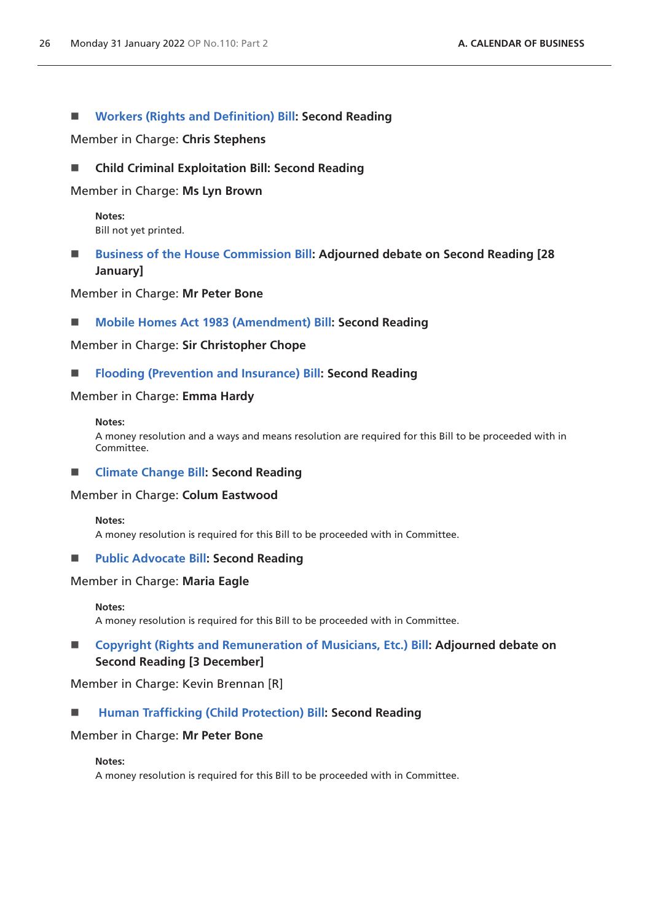### **[Workers \(Rights and Definition\) Bill:](https://publications.parliament.uk/pa/bills/cbill/58-02/0110/210110.pdf) Second Reading**

Member in Charge: **Chris Stephens**

### **Child Criminal Exploitation Bill: Second Reading**

Member in Charge: **Ms Lyn Brown**

**Notes:** Bill not yet printed.

# **[Business of the House Commission Bill](https://publications.parliament.uk/pa/bills/cbill/58-02/0078/210078.pdf): Adjourned debate on Second Reading [28 January]**

Member in Charge: **Mr Peter Bone**

#### ■ **[Mobile Homes Act 1983 \(Amendment\) Bill:](https://publications.parliament.uk/pa/bills/cbill/58-02/0102/210102.pdf) Second Reading**

Member in Charge: **Sir Christopher Chope**

#### **[Flooding \(Prevention and Insurance\) Bill:](https://publications.parliament.uk/pa/bills/cbill/58-02/0102/210102.pdf) Second Reading**

#### Member in Charge: **Emma Hardy**

#### **Notes:**

A money resolution and a ways and means resolution are required for this Bill to be proceeded with in Committee.

#### **[Climate Change Bill](https://publications.parliament.uk/pa/bills/cbill/58-02/0021/210021.pdf): Second Reading**

#### Member in Charge: **Colum Eastwood**

**Notes:**

A money resolution is required for this Bill to be proceeded with in Committee.

#### **[Public Advocate Bill](https://publications.parliament.uk/pa/bills/cbill/58-02/0047/21047.pdf): Second Reading**

### Member in Charge: **Maria Eagle**

**Notes:**

A money resolution is required for this Bill to be proceeded with in Committee.

# ■ [Copyright \(Rights and Remuneration of Musicians, Etc.\) Bill](https://publications.parliament.uk/pa/bills/cbill/58-02/0019/210019.pdf): Adjourned debate on **Second Reading [3 December]**

Member in Charge: Kevin Brennan [R]

### **[Human Trafficking \(Child Protection\) Bill](https://publications.parliament.uk/pa/bills/cbill/58-02/0071/220071.pdf): Second Reading**

#### Member in Charge: **Mr Peter Bone**

#### **Notes:**

A money resolution is required for this Bill to be proceeded with in Committee.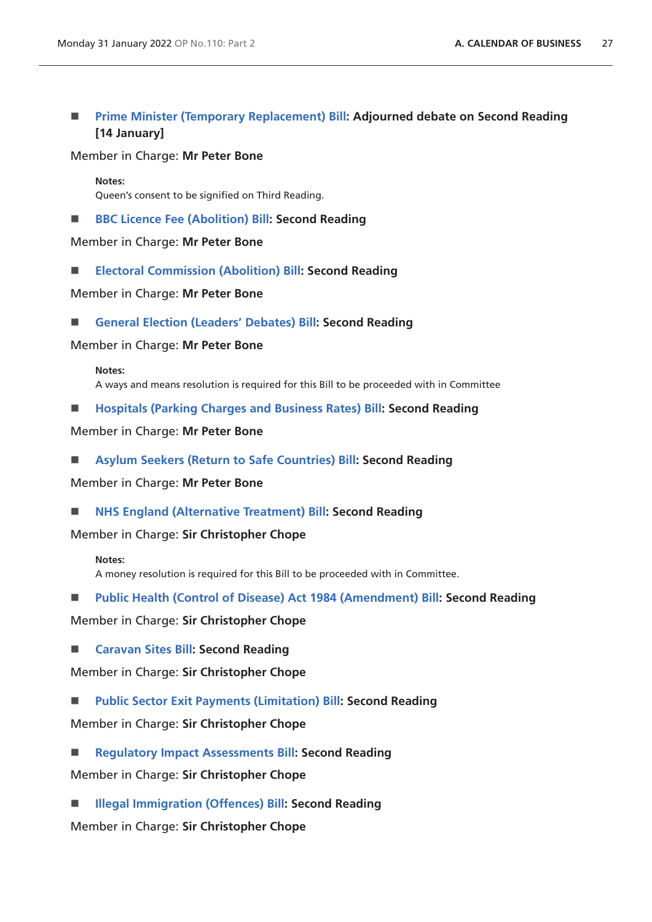# **[Prime Minister \(Temporary Replacement\) Bill](https://publications.parliament.uk/pa/bills/cbill/58-02/0042/210042.pdf): Adjourned debate on Second Reading [14 January]**

#### Member in Charge: **Mr Peter Bone**

**Notes:** Queen's consent to be signified on Third Reading.

■ **[BBC Licence Fee \(Abolition\) Bill:](https://publications.parliament.uk/pa/bills/cbill/58-02/0080/210080.pdf) Second Reading** 

Member in Charge: **Mr Peter Bone**

**[Electoral Commission \(Abolition\) Bill:](https://publications.parliament.uk/pa/bills/cbill/58-02/0069/210069.pdf) Second Reading**

Member in Charge: **Mr Peter Bone**

**[General Election \(Leaders' Debates\) Bill:](https://publications.parliament.uk/pa/bills/cbill/58-02/0072/210072.pdf) Second Reading**

Member in Charge: **Mr Peter Bone**

#### **Notes:**

A ways and means resolution is required for this Bill to be proceeded with in Committee

**[Hospitals \(Parking Charges and Business Rates\) Bill:](https://publications.parliament.uk/pa/bills/cbill/58-02/0070/210070.pdf) Second Reading**

Member in Charge: **Mr Peter Bone**

**[Asylum Seekers \(Return to Safe Countries\) Bill:](https://publications.parliament.uk/pa/bills/cbill/58-02/0079/210079.pdf) Second Reading**

Member in Charge: **Mr Peter Bone**

■ **[NHS England \(Alternative Treatment\) Bill:](https://publications.parliament.uk/pa/bills/cbill/58-02/0094/210094.pdf) Second Reading** 

Member in Charge: **Sir Christopher Chope**

#### **Notes:**

A money resolution is required for this Bill to be proceeded with in Committee.

**[Public Health \(Control of Disease\) Act 1984 \(Amendment\) Bill:](https://publications.parliament.uk/pa/bills/cbill/58-02/0092/210092.pdf) Second Reading**

Member in Charge: **Sir Christopher Chope**

**[Caravan Sites Bill:](https://publications.parliament.uk/pa/bills/cbill/58-02/0106/210106.pdf) Second Reading**

Member in Charge: **Sir Christopher Chope**

**[Public Sector Exit Payments \(Limitation\) Bill:](https://publications.parliament.uk/pa/bills/cbill/58-02/0107/210107.pdf) Second Reading**

Member in Charge: **Sir Christopher Chope**

 **[Regulatory Impact Assessments Bill](https://publications.parliament.uk/pa/bills/cbill/58-02/0099/210099.pdf): Second Reading** Member in Charge: **Sir Christopher Chope**

■ [Illegal Immigration \(Offences\) Bill:](https://publications.parliament.uk/pa/bills/cbill/58-02/0104/210104.pdf) Second Reading

Member in Charge: **Sir Christopher Chope**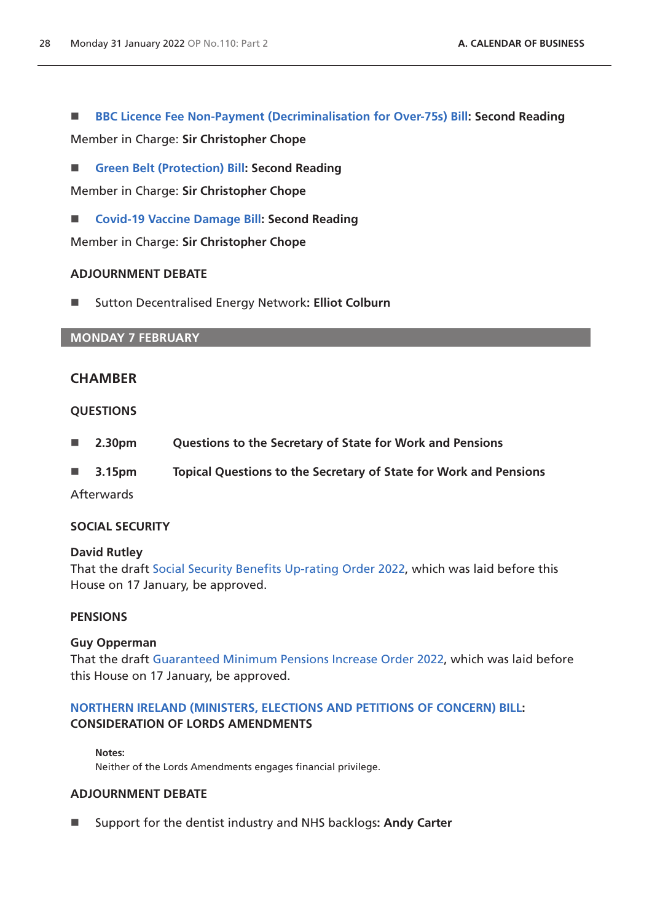**[BBC Licence Fee Non-Payment \(Decriminalisation for Over-75s\) Bill](https://publications.parliament.uk/pa/bills/cbill/58-02/0098/210098.pdf): Second Reading**

Member in Charge: **Sir Christopher Chope**

**[Green Belt \(Protection\) Bill:](https://publications.parliament.uk/pa/bills/cbill/58-02/0108/210108.pdf) Second Reading**

Member in Charge: **Sir Christopher Chope**

■ **[Covid-19 Vaccine Damage Bill:](https://publications.parliament.uk/pa/bills/cbill/58-02/0044/210044.pdf) Second Reading** 

Member in Charge: **Sir Christopher Chope**

### **ADJOURNMENT DEBATE**

■ Sutton Decentralised Energy Network: Elliot Colburn

### **MONDAY 7 FEBRUARY**

# **CHAMBER**

### **QUESTIONS**

- **2.30pm Questions to the Secretary of State for Work and Pensions**
- **3.15pm Topical Questions to the Secretary of State for Work and Pensions**

**Afterwards** 

### **SOCIAL SECURITY**

### **David Rutley**

That the draft [Social Security Benefits Up-rating Order 2022,](https://www.legislation.gov.uk/ukdsi/2022/9780348231151/pdfs/ukdsi_9780348231151_en.pdf) which was laid before this House on 17 January, be approved.

### **PENSIONS**

### **Guy Opperman**

That the draft [Guaranteed Minimum Pensions Increase Order 2022](https://www.legislation.gov.uk/ukdsi/2022/9780348231076/pdfs/ukdsi_9780348231076_en.pdf), which was laid before this House on 17 January, be approved.

# **[NORTHERN IRELAND \(MINISTERS, ELECTIONS AND PETITIONS OF CONCERN\) BILL:](https://publications.parliament.uk/pa/bills/cbill/58-02/0236/210236.pdf) CONSIDERATION OF LORDS AMENDMENTS**

#### **Notes:**

Neither of the Lords Amendments engages financial privilege.

## **ADJOURNMENT DEBATE**

Support for the dentist industry and NHS backlogs**: Andy Carter**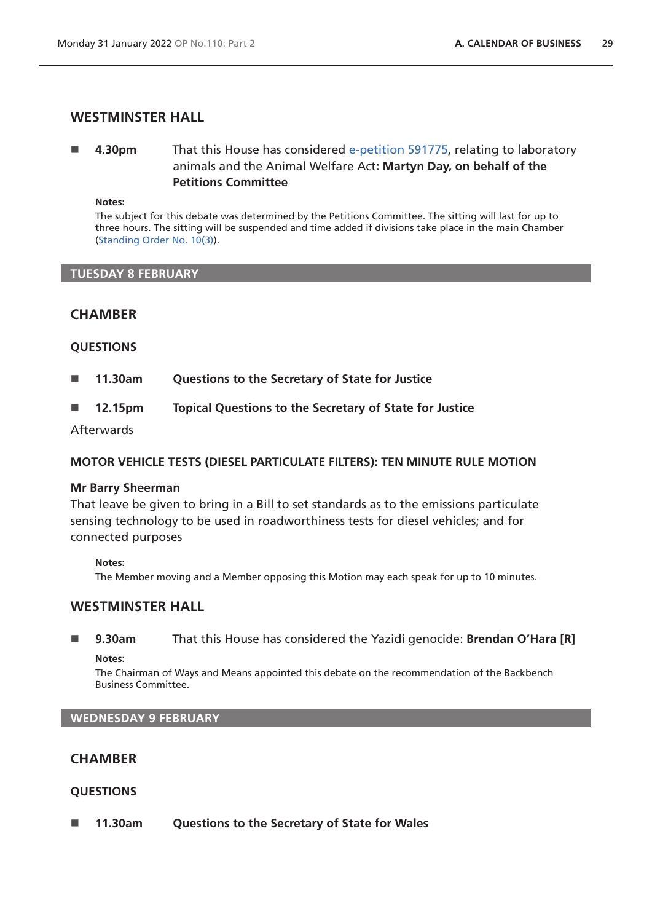# **WESTMINSTER HALL**

# **4.30pm** That this House has considered [e-petition 591775](https://petition.parliament.uk/petitions/591775), relating to laboratory animals and the Animal Welfare Act**: Martyn Day, on behalf of the Petitions Committee**

**Notes:**

The subject for this debate was determined by the Petitions Committee. The sitting will last for up to three hours. The sitting will be suspended and time added if divisions take place in the main Chamber [\(Standing Order No. 10\(3\)](https://publications.parliament.uk/pa/cm5802/cmstords/so_804_2021/so-orders.html#so-10_3)).

#### **TUESDAY 8 FEBRUARY**

# **CHAMBER**

### **QUESTIONS**

- **11.30am Questions to the Secretary of State for Justice**
- **12.15pm Topical Questions to the Secretary of State for Justice**

Afterwards

### **MOTOR VEHICLE TESTS (DIESEL PARTICULATE FILTERS): TEN MINUTE RULE MOTION**

### **Mr Barry Sheerman**

That leave be given to bring in a Bill to set standards as to the emissions particulate sensing technology to be used in roadworthiness tests for diesel vehicles; and for connected purposes

**Notes:**

The Member moving and a Member opposing this Motion may each speak for up to 10 minutes.

# **WESTMINSTER HALL**

 **9.30am** That this House has considered the Yazidi genocide: **Brendan O'Hara [R] Notes:**

The Chairman of Ways and Means appointed this debate on the recommendation of the Backbench Business Committee.

### **WEDNESDAY 9 FEBRUARY**

# **CHAMBER**

### **QUESTIONS**

**11.30am Questions to the Secretary of State for Wales**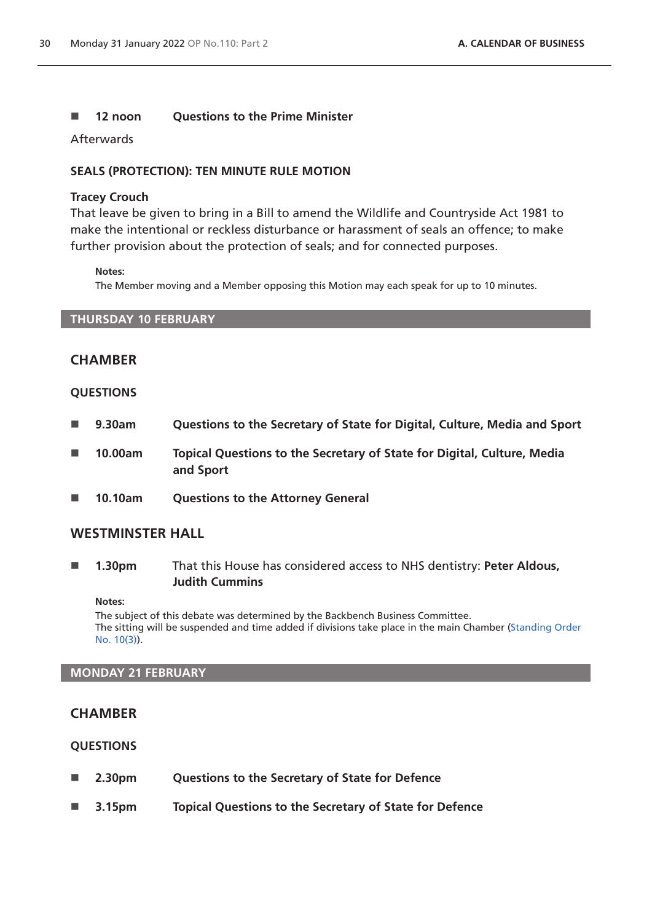### ■ 12 noon Ouestions to the Prime Minister

Afterwards

### **SEALS (PROTECTION): TEN MINUTE RULE MOTION**

#### **Tracey Crouch**

That leave be given to bring in a Bill to amend the Wildlife and Countryside Act 1981 to make the intentional or reckless disturbance or harassment of seals an offence; to make further provision about the protection of seals; and for connected purposes.

#### **Notes:**

The Member moving and a Member opposing this Motion may each speak for up to 10 minutes.

### **THURSDAY 10 FEBRUARY**

# **CHAMBER**

#### **QUESTIONS**

- **9.30am Questions to the Secretary of State for Digital, Culture, Media and Sport**
- 10.00am **Topical Questions to the Secretary of State for Digital, Culture, Media and Sport**
- **10.10am Questions to the Attorney General**

# **WESTMINSTER HALL**

 **1.30pm** That this House has considered access to NHS dentistry: **Peter Aldous, Judith Cummins**

#### **Notes:**

The subject of this debate was determined by the Backbench Business Committee. The sitting will be suspended and time added if divisions take place in the main Chamber [\(Standing Order](https://publications.parliament.uk/pa/cm5802/cmstords/so_804_2021/so-orders.html#so-10_3)  [No. 10\(3\)](https://publications.parliament.uk/pa/cm5802/cmstords/so_804_2021/so-orders.html#so-10_3)).

#### **MONDAY 21 FEBRUARY**

### **CHAMBER**

### **QUESTIONS**

- **2.30pm Questions to the Secretary of State for Defence**
- **3.15pm Topical Questions to the Secretary of State for Defence**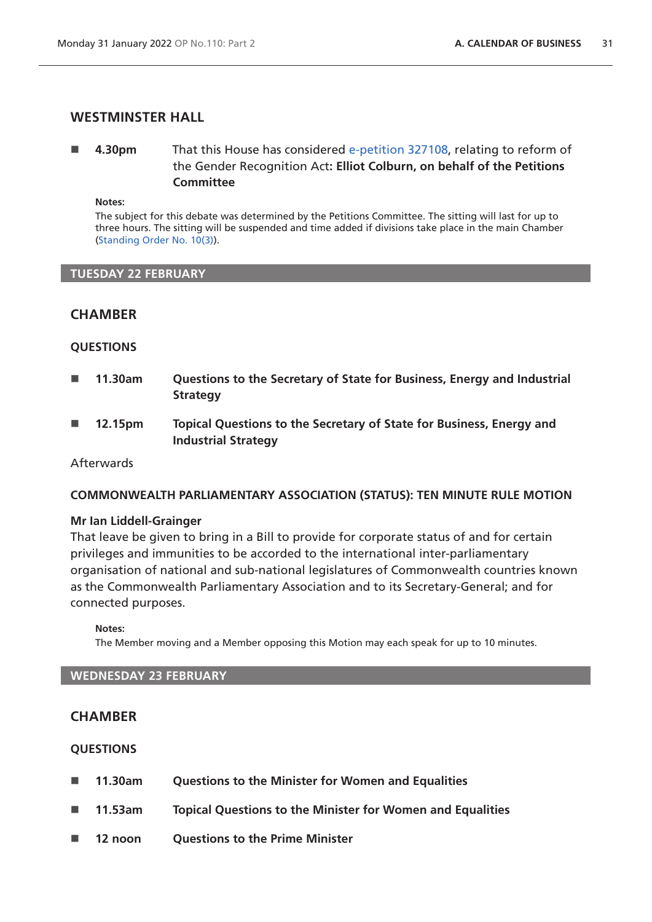# **WESTMINSTER HALL**

# **4.30pm** That this House has considered [e-petition 327108](https://petition.parliament.uk/petitions/327108), relating to reform of the Gender Recognition Act**: Elliot Colburn, on behalf of the Petitions Committee**

**Notes:**

The subject for this debate was determined by the Petitions Committee. The sitting will last for up to three hours. The sitting will be suspended and time added if divisions take place in the main Chamber [\(Standing Order No. 10\(3\)](https://publications.parliament.uk/pa/cm5802/cmstords/so_804_2021/so-orders.html#so-10_3)).

#### **TUESDAY 22 FEBRUARY**

### **CHAMBER**

### **QUESTIONS**

- **11.30am Questions to the Secretary of State for Business, Energy and Industrial Strategy**
- **12.15pm Topical Questions to the Secretary of State for Business, Energy and Industrial Strategy**

#### Afterwards

### **COMMONWEALTH PARLIAMENTARY ASSOCIATION (STATUS): TEN MINUTE RULE MOTION**

#### **Mr Ian Liddell-Grainger**

That leave be given to bring in a Bill to provide for corporate status of and for certain privileges and immunities to be accorded to the international inter-parliamentary organisation of national and sub-national legislatures of Commonwealth countries known as the Commonwealth Parliamentary Association and to its Secretary-General; and for connected purposes.

**Notes:**

The Member moving and a Member opposing this Motion may each speak for up to 10 minutes.

#### **WEDNESDAY 23 FEBRUARY**

# **CHAMBER**

#### **QUESTIONS**

- **11.30am Questions to the Minister for Women and Equalities**
- **11.53am Topical Questions to the Minister for Women and Equalities**
- **12 noon Questions to the Prime Minister**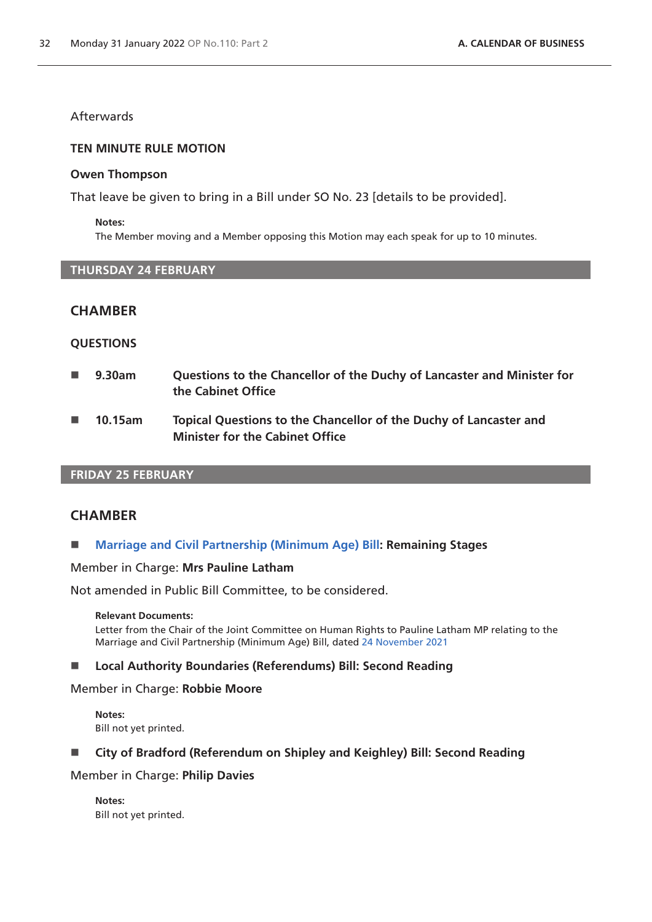## **Afterwards**

#### **TEN MINUTE RULE MOTION**

#### **Owen Thompson**

That leave be given to bring in a Bill under SO No. 23 [details to be provided].

#### **Notes:**

The Member moving and a Member opposing this Motion may each speak for up to 10 minutes.

### **THURSDAY 24 FEBRUARY**

# **CHAMBER**

### **QUESTIONS**

- **9.30am Questions to the Chancellor of the Duchy of Lancaster and Minister for the Cabinet Office**
- **10.15am Topical Questions to the Chancellor of the Duchy of Lancaster and Minister for the Cabinet Office**

## **FRIDAY 25 FEBRUARY**

### **CHAMBER**

### **[Marriage and Civil Partnership \(Minimum Age\) Bill:](https://publications.parliament.uk/pa/bills/cbill/58-02/0018/210018.pdf) Remaining Stages**

#### Member in Charge: **Mrs Pauline Latham**

Not amended in Public Bill Committee, to be considered.

#### **Relevant Documents:**

Letter from the Chair of the Joint Committee on Human Rights to Pauline Latham MP relating to the Marriage and Civil Partnership (Minimum Age) Bill, dated [24 November 2021](https://committees.parliament.uk/publications/8079/documents/83043/default/)

### **Local Authority Boundaries (Referendums) Bill: Second Reading**

# Member in Charge: **Robbie Moore**

**Notes:** Bill not yet printed.

# **City of Bradford (Referendum on Shipley and Keighley) Bill: Second Reading**

# Member in Charge: **Philip Davies**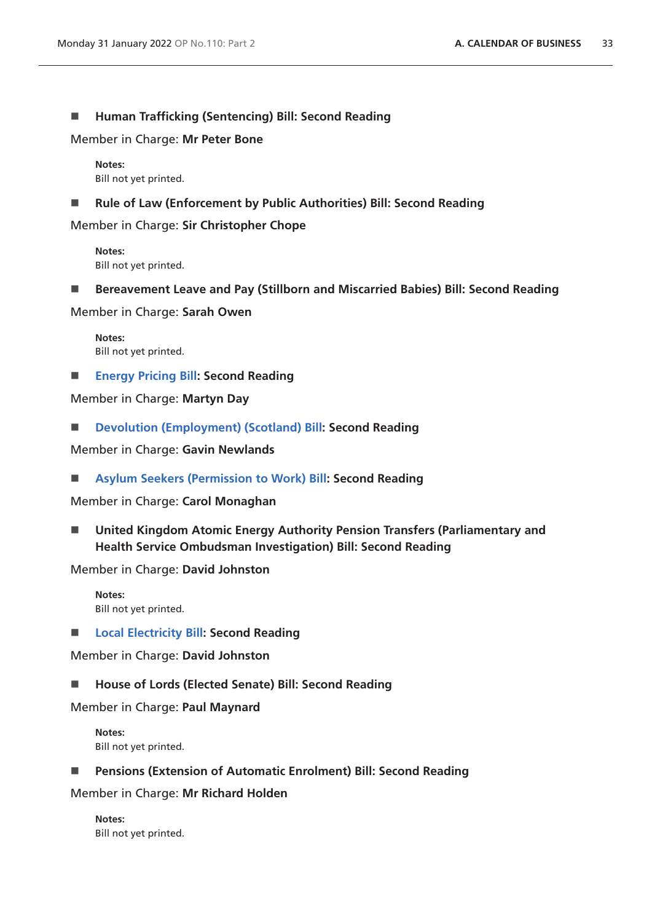### ■ Human Trafficking (Sentencing) Bill: Second Reading

Member in Charge: **Mr Peter Bone**

**Notes:** Bill not yet printed.

■ Rule of Law (Enforcement by Public Authorities) Bill: Second Reading

Member in Charge: **Sir Christopher Chope**

**Notes:** Bill not yet printed.

**Bereavement Leave and Pay (Stillborn and Miscarried Babies) Bill: Second Reading**

Member in Charge: **Sarah Owen**

**Notes:** Bill not yet printed.

**[Energy Pricing Bill:](https://publications.parliament.uk/pa/bills/cbill/58-02/0053/210053.pdf) Second Reading**

Member in Charge: **Martyn Day**

**[Devolution \(Employment\) \(Scotland\) Bill](https://publications.parliament.uk/pa/bills/cbill/58-02/0170/210170.pdf): Second Reading**

Member in Charge: **Gavin Newlands**

**[Asylum Seekers \(Permission to Work\) Bill](https://publications.parliament.uk/pa/bills/cbill/58-02/0036/210036.pdf): Second Reading**

Member in Charge: **Carol Monaghan**

 **United Kingdom Atomic Energy Authority Pension Transfers (Parliamentary and Health Service Ombudsman Investigation) Bill: Second Reading**

Member in Charge: **David Johnston**

**Notes:** Bill not yet printed.

**[Local Electricity Bill](https://publications.parliament.uk/pa/bills/cbill/58-02/0154/210154.pdf): Second Reading**

Member in Charge: **David Johnston**

■ House of Lords (Elected Senate) Bill: Second Reading

Member in Charge: **Paul Maynard**

**Notes:** Bill not yet printed.

**Pensions (Extension of Automatic Enrolment) Bill: Second Reading**

Member in Charge: **Mr Richard Holden**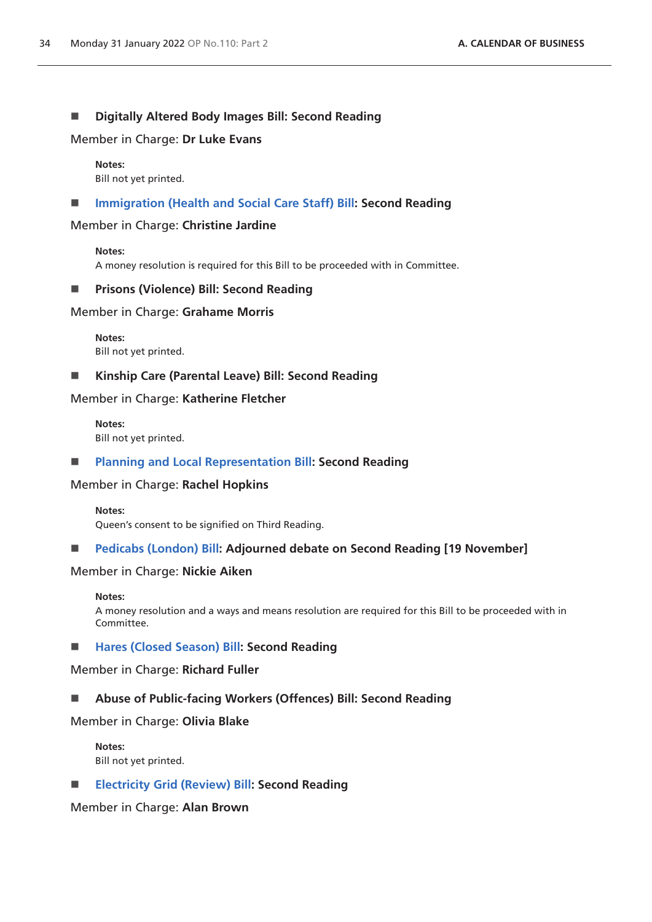### **Digitally Altered Body Images Bill: Second Reading**

Member in Charge: **Dr Luke Evans**

**Notes:** Bill not yet printed.

### **[Immigration \(Health and Social Care Staff\) Bill:](https://publications.parliament.uk/pa/bills/cbill/58-02/0123/210123.pdf) Second Reading**

#### Member in Charge: **Christine Jardine**

#### **Notes:**

A money resolution is required for this Bill to be proceeded with in Committee.

### **Prisons (Violence) Bill: Second Reading**

### Member in Charge: **Grahame Morris**

**Notes:** Bill not yet printed.

### **Kinship Care (Parental Leave) Bill: Second Reading**

Member in Charge: **Katherine Fletcher**

**Notes:** Bill not yet printed.

### **[Planning and Local Representation Bill:](https://publications.parliament.uk/pa/bills/cbill/58-02/0147/210147.pdf) Second Reading**

### Member in Charge: **Rachel Hopkins**

#### **Notes:**

Queen's consent to be signified on Third Reading.

### **[Pedicabs \(London\) Bill](https://publications.parliament.uk/pa/bills/cbill/58-02/0058/210058.pdf): Adjourned debate on Second Reading [19 November]**

#### Member in Charge: **Nickie Aiken**

#### **Notes:**

A money resolution and a ways and means resolution are required for this Bill to be proceeded with in Committee.

### ■ [Hares \(Closed Season\) Bill](https://publications.parliament.uk/pa/bills/cbill/58-02/0217/220217.pdf): Second Reading

Member in Charge: **Richard Fuller**

### **Abuse of Public-facing Workers (Offences) Bill: Second Reading**

Member in Charge: **Olivia Blake**

**Notes:** Bill not yet printed.

### **[Electricity Grid \(Review\) Bill](https://publications.parliament.uk/pa/bills/cbill/58-02/0175/220175.pdf): Second Reading**

### Member in Charge: **Alan Brown**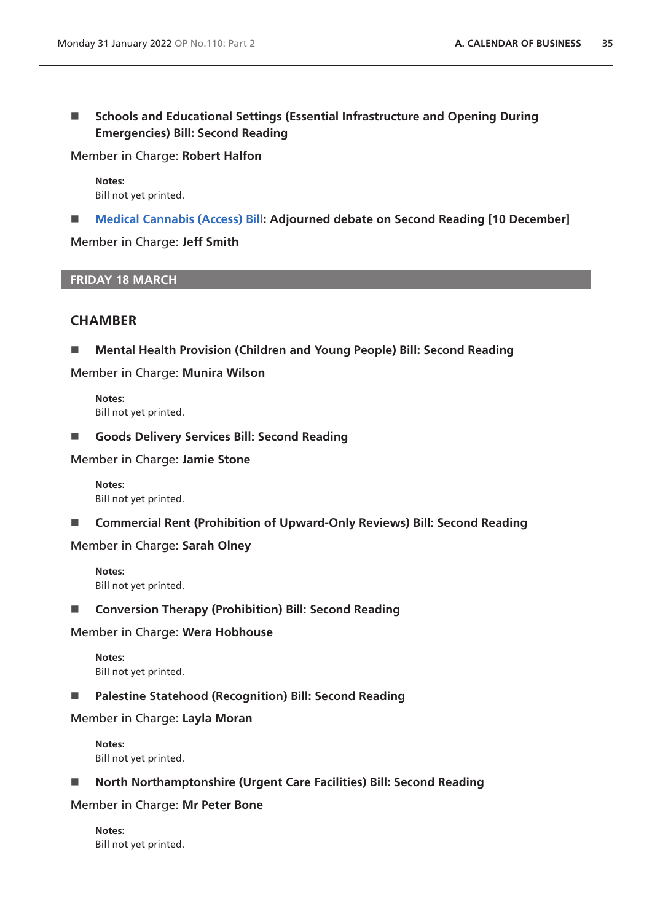**Schools and Educational Settings (Essential Infrastructure and Opening During Emergencies) Bill: Second Reading**

Member in Charge: **Robert Halfon**

**Notes:** Bill not yet printed.

**[Medical Cannabis \(Access\) Bill](https://publications.parliament.uk/pa/bills/cbill/58-02/0020/210020.pdf): Adjourned debate on Second Reading [10 December]**

Member in Charge: **Jeff Smith**

**FRIDAY 18 MARCH**

## **CHAMBER**

**Mental Health Provision (Children and Young People) Bill: Second Reading**

Member in Charge: **Munira Wilson**

**Notes:** Bill not yet printed.

**Goods Delivery Services Bill: Second Reading**

Member in Charge: **Jamie Stone**

**Notes:** Bill not yet printed.

**Commercial Rent (Prohibition of Upward-Only Reviews) Bill: Second Reading**

Member in Charge: **Sarah Olney**

**Notes:** Bill not yet printed.

### ■ Conversion Therapy (Prohibition) Bill: Second Reading

Member in Charge: **Wera Hobhouse**

**Notes:** Bill not yet printed.

### **Palestine Statehood (Recognition) Bill: Second Reading**

Member in Charge: **Layla Moran**

**Notes:** Bill not yet printed.

**North Northamptonshire (Urgent Care Facilities) Bill: Second Reading**

Member in Charge: **Mr Peter Bone**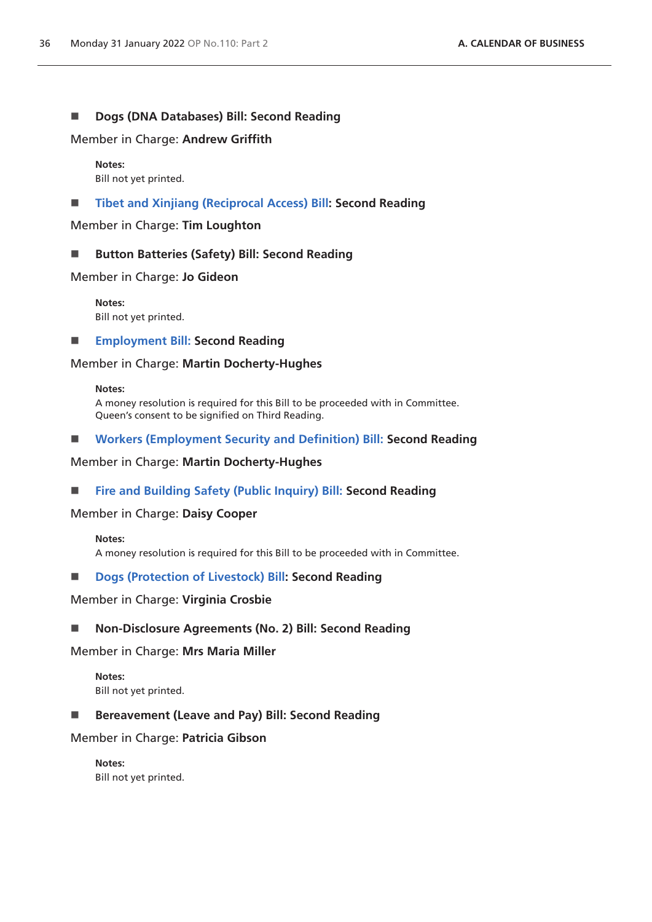### ■ **Dogs (DNA Databases) Bill: Second Reading**

Member in Charge: **Andrew Griffith**

#### **Notes:**

Bill not yet printed.

**[Tibet and Xinjiang \(Reciprocal Access\) Bill](https://publications.parliament.uk/pa/bills/cbill/58-02/0148/210148.pdf): Second Reading**

Member in Charge: **Tim Loughton**

■ Button Batteries (Safety) Bill: Second Reading

Member in Charge: **Jo Gideon**

**Notes:** Bill not yet printed.

**[Employment Bill:](https://publications.parliament.uk/pa/bills/cbill/58-02/0045/21045.pdf) Second Reading**

### Member in Charge: **Martin Docherty-Hughes**

#### **Notes:**

A money resolution is required for this Bill to be proceeded with in Committee. Queen's consent to be signified on Third Reading.

**[Workers \(Employment Security and Definition\) Bill:](https://publications.parliament.uk/pa/bills/cbill/58-02/0109/21109.pdf) Second Reading**

Member in Charge: **Martin Docherty-Hughes**

**[Fire and Building Safety \(Public Inquiry\) Bill:](https://publications.parliament.uk/pa/bills/cbill/58-02/0142/210142.pdf) Second Reading**

### Member in Charge: **Daisy Cooper**

#### **Notes:**

A money resolution is required for this Bill to be proceeded with in Committee.

### ■ **[Dogs \(Protection of Livestock\) Bill](https://publications.parliament.uk/pa/bills/cbill/58-02/0151/210151.pdf): Second Reading**

#### Member in Charge: **Virginia Crosbie**

**Non-Disclosure Agreements (No. 2) Bill: Second Reading**

#### Member in Charge: **Mrs Maria Miller**

**Notes:** Bill not yet printed.

■ Bereavement (Leave and Pay) Bill: Second Reading

### Member in Charge: **Patricia Gibson**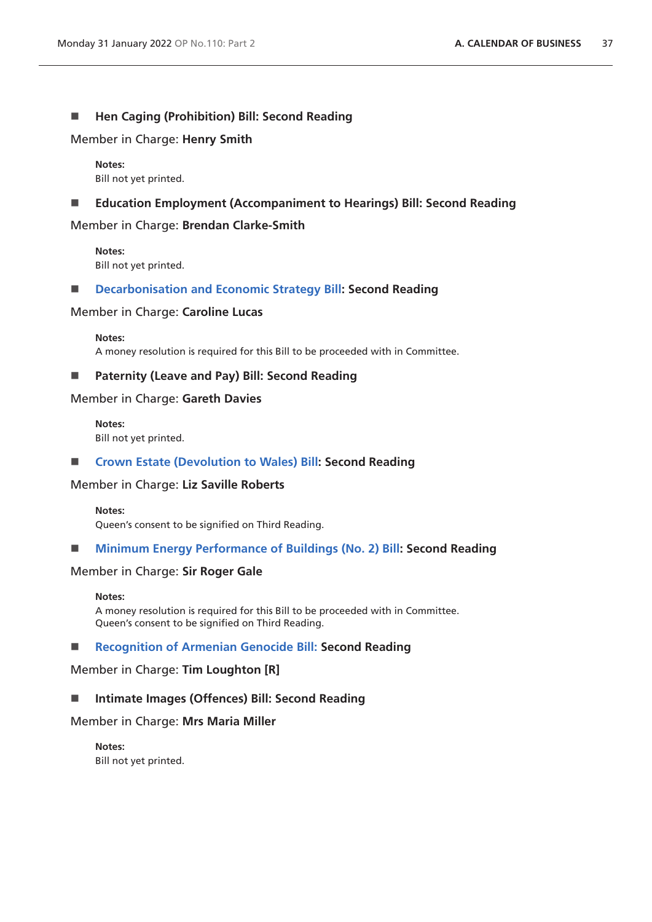### ■ Hen Caging (Prohibition) Bill: Second Reading

Member in Charge: **Henry Smith**

**Notes:** Bill not yet printed.

#### **Education Employment (Accompaniment to Hearings) Bill: Second Reading**

Member in Charge: **Brendan Clarke-Smith**

**Notes:** Bill not yet printed.

#### **[Decarbonisation and Economic Strategy Bill:](https://publications.parliament.uk/pa/bills/cbill/58-02/0172/210172.pdf) Second Reading**

#### Member in Charge: **Caroline Lucas**

**Notes:** A money resolution is required for this Bill to be proceeded with in Committee.

### ■ **Paternity (Leave and Pay) Bill: Second Reading**

#### Member in Charge: **Gareth Davies**

**Notes:** Bill not yet printed.

### **[Crown Estate \(Devolution to Wales\) Bill:](https://publications.parliament.uk/pa/bills/cbill/58-02/0067/210067.pdf) Second Reading**

#### Member in Charge: **Liz Saville Roberts**

#### **Notes:**

Queen's consent to be signified on Third Reading.

### **[Minimum Energy Performance of Buildings \(No. 2\) Bill](https://publications.parliament.uk/pa/bills/cbill/58-02/0150/210150.pdf): Second Reading**

#### Member in Charge: **Sir Roger Gale**

#### **Notes:**

A money resolution is required for this Bill to be proceeded with in Committee. Queen's consent to be signified on Third Reading.

#### ■ **[Recognition of Armenian Genocide Bill: S](https://publications.parliament.uk/pa/bills/cbill/58-02/0190/210190.pdf)econd Reading**

#### Member in Charge: **Tim Loughton [R]**

### ■ Intimate Images (Offences) Bill: Second Reading

#### Member in Charge: **Mrs Maria Miller**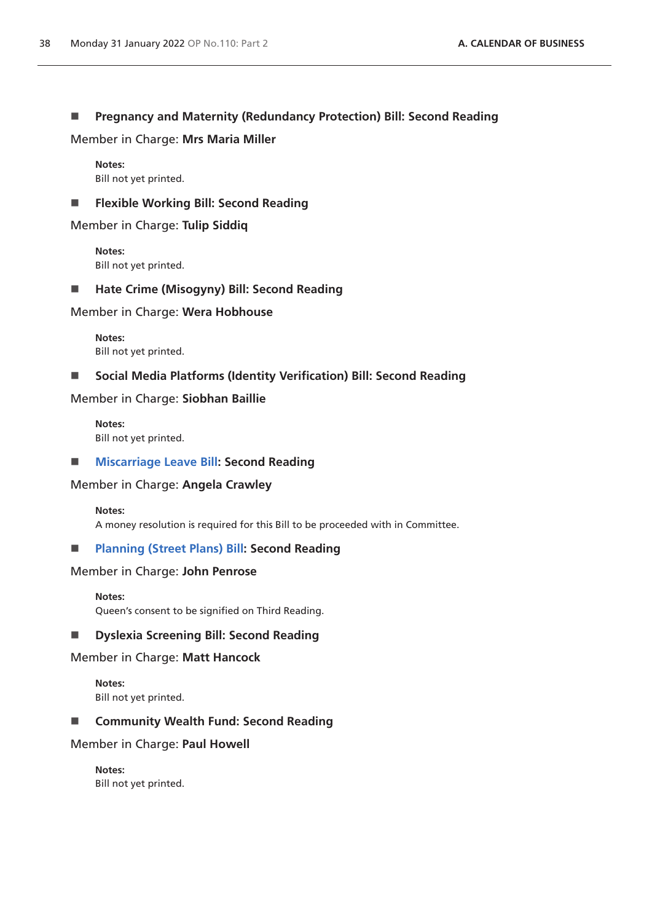## **Pregnancy and Maternity (Redundancy Protection) Bill: Second Reading**

Member in Charge: **Mrs Maria Miller**

**Notes:** Bill not yet printed.

**Flexible Working Bill: Second Reading**

Member in Charge: **Tulip Siddiq**

**Notes:** Bill not yet printed.

**Hate Crime (Misogyny) Bill: Second Reading**

Member in Charge: **Wera Hobhouse**

**Notes:** Bill not yet printed.

**Social Media Platforms (Identity Verification) Bill: Second Reading**

Member in Charge: **Siobhan Baillie**

**Notes:** Bill not yet printed.

### **[Miscarriage Leave Bill:](https://publications.parliament.uk/pa/bills/cbill/58-02/0066/210066.pdf) Second Reading**

### Member in Charge: **Angela Crawley**

#### **Notes:**

A money resolution is required for this Bill to be proceeded with in Committee.

### **[Planning \(Street Plans\) Bill:](https://publications.parliament.uk/pa/bills/cbill/58-02/0161/210161.pdf) Second Reading**

#### Member in Charge: **John Penrose**

**Notes:**

Queen's consent to be signified on Third Reading.

### **Dyslexia Screening Bill: Second Reading**

#### Member in Charge: **Matt Hancock**

**Notes:** Bill not yet printed.

■ Community Wealth Fund: Second Reading

### Member in Charge: **Paul Howell**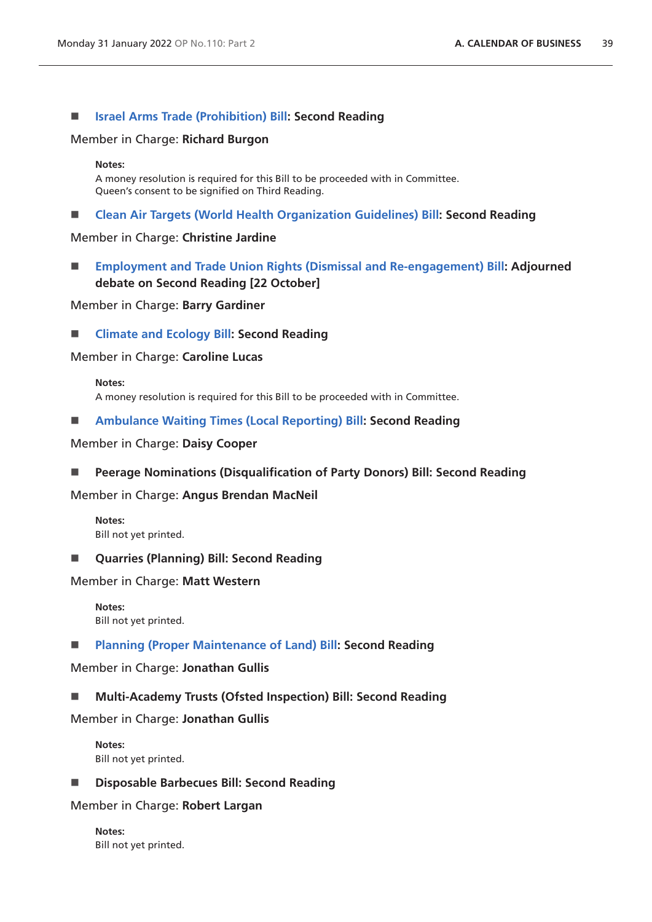#### **[Israel Arms Trade \(Prohibition\) Bill](https://publications.parliament.uk/pa/bills/cbill/58-02/0144/210144.pdf): Second Reading**

#### Member in Charge: **Richard Burgon**

#### **Notes:**

A money resolution is required for this Bill to be proceeded with in Committee. Queen's consent to be signified on Third Reading.

**[Clean Air Targets \(World Health Organization Guidelines\) Bill](https://publications.parliament.uk/pa/bills/cbill/58-02/0052/210052.pdf): Second Reading**

#### Member in Charge: **Christine Jardine**

 **[Employment and Trade Union Rights \(Dismissal and Re-engagement\) Bill:](https://publications.parliament.uk/pa/bills/cbill/58-02/0015/210015.pdf) Adjourned debate on Second Reading [22 October]**

### Member in Charge: **Barry Gardiner**

**[Climate and Ecology Bill](https://publications.parliament.uk/pa/bills/cbill/58-02/0061/21061.pdf): Second Reading**

#### Member in Charge: **Caroline Lucas**

**Notes:** A money resolution is required for this Bill to be proceeded with in Committee.

**[Ambulance Waiting Times \(Local Reporting\) Bill:](https://publications.parliament.uk/pa/bills/cbill/58-02/0209/210209.pdf) Second Reading**

#### Member in Charge: **Daisy Cooper**

**Peerage Nominations (Disqualification of Party Donors) Bill: Second Reading**

#### Member in Charge: **Angus Brendan MacNeil**

**Notes:** Bill not yet printed.

**Quarries (Planning) Bill: Second Reading**

Member in Charge: **Matt Western**

**Notes:** Bill not yet printed.

**[Planning \(Proper Maintenance of Land\) Bill](https://publications.parliament.uk/pa/bills/cbill/58-02/0130/210130.pdf): Second Reading**

Member in Charge: **Jonathan Gullis**

#### **Multi-Academy Trusts (Ofsted Inspection) Bill: Second Reading**

Member in Charge: **Jonathan Gullis**

**Notes:** Bill not yet printed.

**Disposable Barbecues Bill: Second Reading**

#### Member in Charge: **Robert Largan**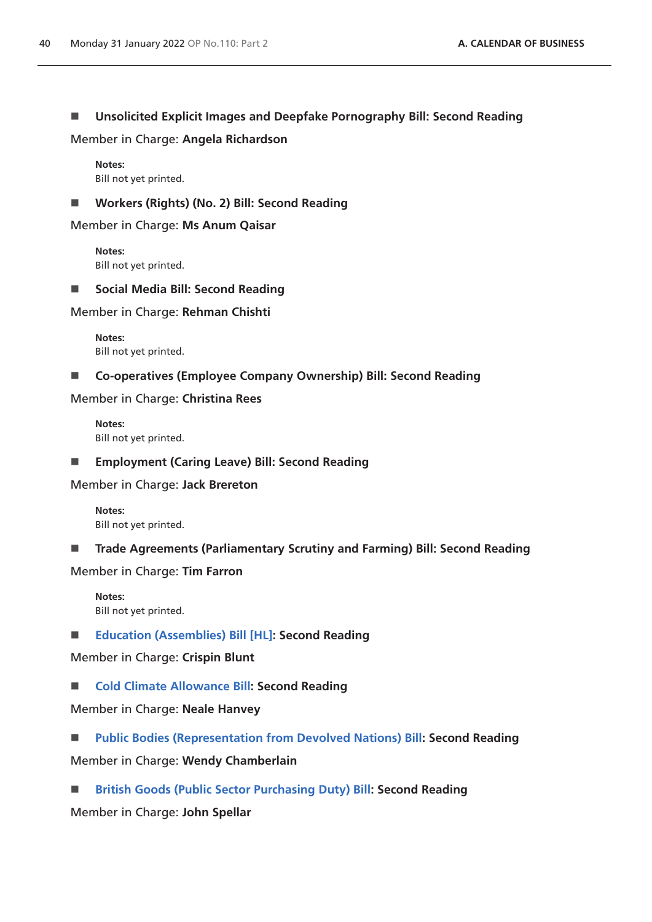## **Unsolicited Explicit Images and Deepfake Pornography Bill: Second Reading**

Member in Charge: **Angela Richardson**

**Notes:** Bill not yet printed.

**Workers (Rights) (No. 2) Bill: Second Reading**

Member in Charge: **Ms Anum Qaisar**

**Notes:** Bill not yet printed.

■ Social Media Bill: Second Reading

Member in Charge: **Rehman Chishti**

**Notes:** Bill not yet printed.

**Co-operatives (Employee Company Ownership) Bill: Second Reading**

Member in Charge: **Christina Rees**

**Notes:** Bill not yet printed.

**Employment (Caring Leave) Bill: Second Reading**

Member in Charge: **Jack Brereton**

**Notes:** Bill not yet printed.

■ Trade Agreements (Parliamentary Scrutiny and Farming) Bill: Second Reading

Member in Charge: **Tim Farron**

**Notes:** Bill not yet printed.

**[Education \(Assemblies\) Bill \[HL\]:](https://publications.parliament.uk/pa/bills/cbill/58-02/0216/210216v1.pdf) Second Reading**

Member in Charge: **Crispin Blunt**

■ **[Cold Climate Allowance Bill:](https://publications.parliament.uk/pa/bills/cbill/58-02/0218/210218.pdf) Second Reading** 

Member in Charge: **Neale Hanvey**

- **[Public Bodies \(Representation from Devolved Nations\) Bill:](https://publications.parliament.uk/pa/bills/cbill/58-02/0050/210050.pdf) Second Reading**
- Member in Charge: **Wendy Chamberlain**
- **[British Goods \(Public Sector Purchasing Duty\) Bill:](https://publications.parliament.uk/pa/bills/cbill/58-02/0043/210043.pdf) Second Reading**

Member in Charge: **John Spellar**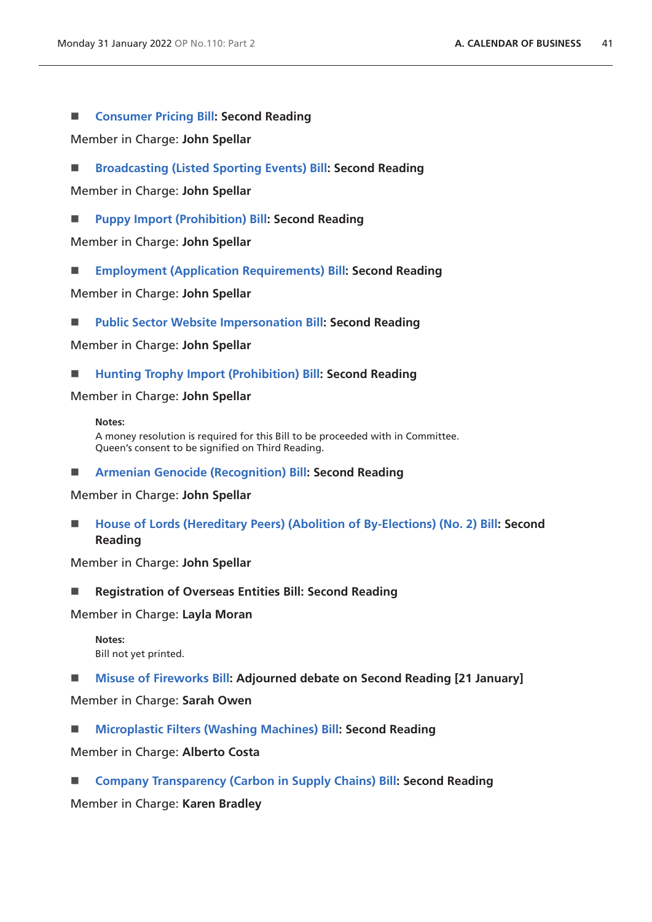### **[Consumer Pricing Bill:](https://publications.parliament.uk/pa/bills/cbill/58-02/0084/210084.pdf) Second Reading**

Member in Charge: **John Spellar**

**[Broadcasting \(Listed Sporting Events\) Bill:](https://publications.parliament.uk/pa/bills/cbill/58-02/0085/210085.pdf) Second Reading**

Member in Charge: **John Spellar**

**[Puppy Import \(Prohibition\) Bill:](https://publications.parliament.uk/pa/bills/cbill/58-02/0086/210086.pdf) Second Reading**

Member in Charge: **John Spellar**

**[Employment \(Application Requirements\) Bill](https://publications.parliament.uk/pa/bills/cbill/58-02/0087/210087.pdf): Second Reading**

Member in Charge: **John Spellar**

**[Public Sector Website Impersonation Bill](https://bills.parliament.uk/publications/43648/documents/954): Second Reading**

Member in Charge: **John Spellar**

**[Hunting Trophy Import \(Prohibition\) Bill](https://publications.parliament.uk/pa/bills/cbill/58-02/0089/210089.pdf): Second Reading**

Member in Charge: **John Spellar**

#### **Notes:**

A money resolution is required for this Bill to be proceeded with in Committee. Queen's consent to be signified on Third Reading.

**[Armenian Genocide \(Recognition\) Bill](https://publications.parliament.uk/pa/bills/cbill/58-02/0090/210090.pdf): Second Reading**

Member in Charge: **John Spellar**

■ [House of Lords \(Hereditary Peers\) \(Abolition of By-Elections\) \(No. 2\) Bill:](https://publications.parliament.uk/pa/bills/cbill/58-02/0091/210091.pdf) Second **Reading**

Member in Charge: **John Spellar**

■ Registration of Overseas Entities Bill: Second Reading

Member in Charge: **Layla Moran**

**Notes:** Bill not yet printed.

**[Misuse of Fireworks Bill:](https://publications.parliament.uk/pa/bills/cbill/58-02/0156/210156.pdf) Adjourned debate on Second Reading [21 January]**

Member in Charge: **Sarah Owen**

**[Microplastic Filters \(Washing Machines\) Bill](https://publications.parliament.uk/pa/bills/cbill/58-02/0205/210205.pdf): Second Reading**

Member in Charge: **Alberto Costa**

**[Company Transparency \(Carbon in Supply Chains\) Bill](https://publications.parliament.uk/pa/bills/cbill/58-02/0169/210169.pdf): Second Reading**

Member in Charge: **Karen Bradley**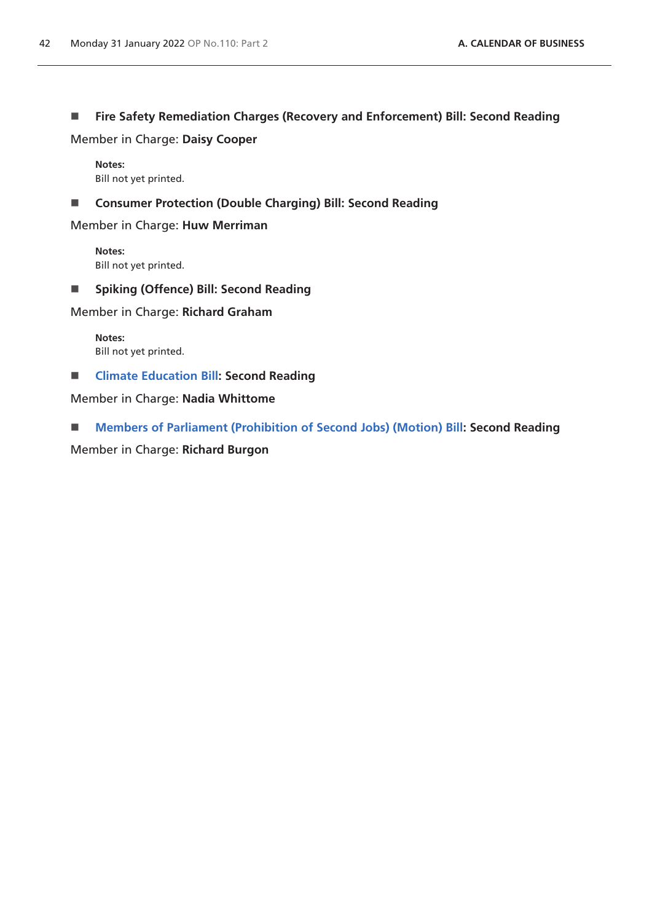# **Fire Safety Remediation Charges (Recovery and Enforcement) Bill: Second Reading**

Member in Charge: **Daisy Cooper**

**Notes:** Bill not yet printed.

**Consumer Protection (Double Charging) Bill: Second Reading**

Member in Charge: **Huw Merriman**

**Notes:** Bill not yet printed.

**Spiking (Offence) Bill: Second Reading**

Member in Charge: **Richard Graham**

**Notes:** Bill not yet printed.

**[Climate Education Bill](https://publications.parliament.uk/pa/bills/cbill/58-02/0197/210197.pdf): Second Reading**

Member in Charge: **Nadia Whittome**

**[Members of Parliament \(Prohibition of Second Jobs\) \(Motion\) Bill:](https://publications.parliament.uk/pa/bills/cbill/58-02/0201/210201.pdf) Second Reading**

Member in Charge: **Richard Burgon**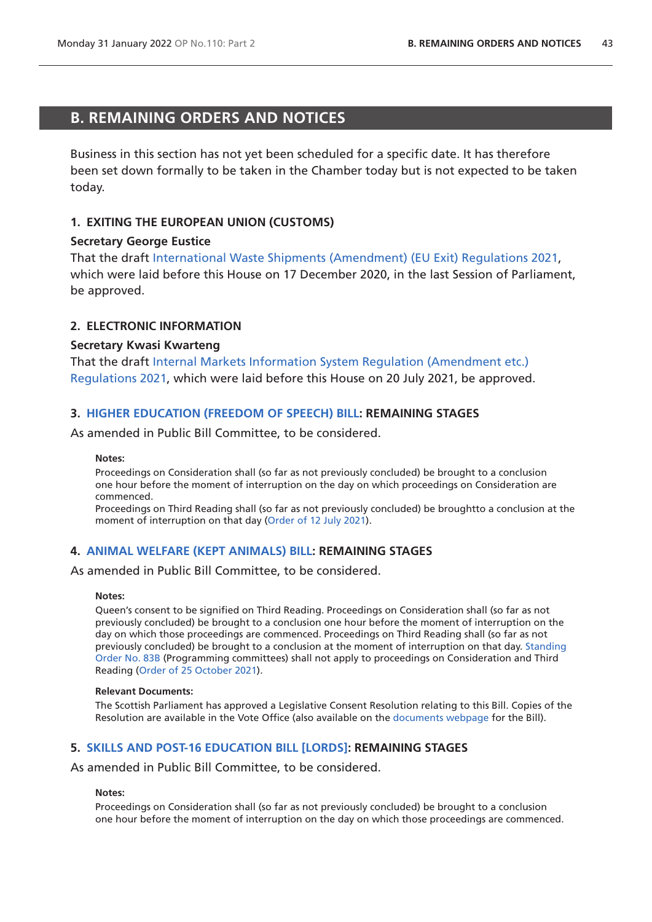# **B. REMAINING ORDERS AND NOTICES**

Business in this section has not yet been scheduled for a specific date. It has therefore been set down formally to be taken in the Chamber today but is not expected to be taken today.

## **1. EXITING THE EUROPEAN UNION (CUSTOMS)**

### **Secretary George Eustice**

That the draft [International Waste Shipments \(Amendment\) \(EU Exit\) Regulations 2021,](https://www.legislation.gov.uk/ukdsi/2021/9780348217650/pdfs/ukdsi_9780348217650_en.pdf) which were laid before this House on 17 December 2020, in the last Session of Parliament, be approved.

### **2. ELECTRONIC INFORMATION**

#### **Secretary Kwasi Kwarteng**

That the draft [Internal Markets Information System Regulation \(Amendment etc.\)](https://www.legislation.gov.uk/ukdsi/2021/9780348226126/pdfs/ukdsi_9780348226126_en.pdf)  [Regulations 2021](https://www.legislation.gov.uk/ukdsi/2021/9780348226126/pdfs/ukdsi_9780348226126_en.pdf), which were laid before this House on 20 July 2021, be approved.

### **3. [HIGHER EDUCATION \(FREEDOM OF SPEECH\) BILL](https://publications.parliament.uk/pa/bills/cbill/58-02/0167/210923.pdf): REMAINING STAGES**

As amended in Public Bill Committee, to be considered.

#### **Notes:**

Proceedings on Consideration shall (so far as not previously concluded) be brought to a conclusion one hour before the moment of interruption on the day on which proceedings on Consideration are commenced.

Proceedings on Third Reading shall (so far as not previously concluded) be broughtto a conclusion at the moment of interruption on that day ([Order of 12 July](https://commonsbusiness.parliament.uk/document/49375/pdf) 2021).

### **4. [ANIMAL WELFARE \(KEPT ANIMALS\) BILL](https://publications.parliament.uk/pa/bills/cbill/58-02/0195/210195.pdf): REMAINING STAGES**

As amended in Public Bill Committee, to be considered.

#### **Notes:**

Queen's consent to be signified on Third Reading. Proceedings on Consideration shall (so far as not previously concluded) be brought to a conclusion one hour before the moment of interruption on the day on which those proceedings are commenced. Proceedings on Third Reading shall (so far as not previously concluded) be brought to a conclusion at the moment of interruption on that day. [Standing](https://publications.parliament.uk/pa/cm5802/cmstords/so_804_2021/so-orders.html#so-83B)  [Order No. 83B](https://publications.parliament.uk/pa/cm5802/cmstords/so_804_2021/so-orders.html#so-83B) (Programming committees) shall not apply to proceedings on Consideration and Third Reading [\(Order of 25 October 2021\)](https://commonsbusiness.parliament.uk/document/50975/pdf).

#### **Relevant Documents:**

The Scottish Parliament has approved a Legislative Consent Resolution relating to this Bill. Copies of the Resolution are available in the Vote Office (also available on the [documents webpage](https://bills.parliament.uk/bills/2880/publications) for the Bill).

### **5. [SKILLS AND POST-16 EDUCATION BILL \[LORDS\]:](https://publications.parliament.uk/pa/bills/cbill/58-02/0212/210212.pdf) REMAINING STAGES**

As amended in Public Bill Committee, to be considered.

#### **Notes:**

Proceedings on Consideration shall (so far as not previously concluded) be brought to a conclusion one hour before the moment of interruption on the day on which those proceedings are commenced.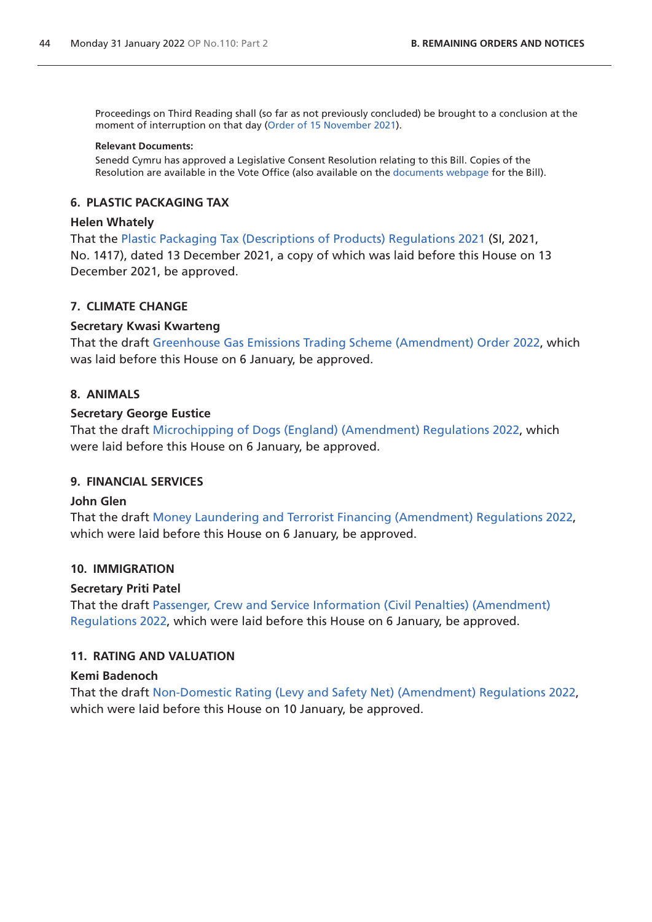<span id="page-43-0"></span>Proceedings on Third Reading shall (so far as not previously concluded) be brought to a conclusion at the moment of interruption on that day ([Order of 15 November](https://commonsbusiness.parliament.uk/document/51638/pdf) 2021).

#### **Relevant Documents:**

Senedd Cymru has approved a Legislative Consent Resolution relating to this Bill. Copies of the Resolution are available in the Vote Office (also available on the [documents webpage](https://bills.parliament.uk/bills/2868/publications) for the Bill).

#### **6. PLASTIC PACKAGING TAX**

### **Helen Whately**

That the [Plastic Packaging Tax \(Descriptions of Products\) Regulations 2021](https://www.legislation.gov.uk/uksi/2021/1417/pdfs/uksi_20211417_en.pdf) (SI, 2021, No. 1417), dated 13 December 2021, a copy of which was laid before this House on 13 December 2021, be approved.

### **7. CLIMATE CHANGE**

#### **Secretary Kwasi Kwarteng**

That the draft [Greenhouse Gas Emissions Trading Scheme \(Amendment\) Order 2022](https://www.legislation.gov.uk/ukdsi/2022/9780348230802/pdfs/ukdsi_9780348230802_en.pdf), which was laid before this House on 6 January, be approved.

## **8. ANIMALS**

#### **Secretary George Eustice**

That the draft [Microchipping of Dogs \(England\) \(Amendment\) Regulations 2022](https://www.legislation.gov.uk/ukdsi/2022/9780348230796/pdfs/ukdsi_9780348230796_en.pdf), which were laid before this House on 6 January, be approved.

#### **9. FINANCIAL SERVICES**

#### **John Glen**

That the draft [Money Laundering and Terrorist Financing \(Amendment\) Regulations 2022](https://www.legislation.gov.uk/ukdsi/2022/9780348230871/pdfs/ukdsi_9780348230871_en.pdf), which were laid before this House on 6 January, be approved.

#### **10. IMMIGRATION**

#### **Secretary Priti Patel**

That the draft [Passenger, Crew and Service Information \(Civil Penalties\) \(Amendment\)](https://www.legislation.gov.uk/ukdsi/2022/9780348230789/pdfs/ukdsi_9780348230789_en.pdf)  [Regulations 2022](https://www.legislation.gov.uk/ukdsi/2022/9780348230789/pdfs/ukdsi_9780348230789_en.pdf), which were laid before this House on 6 January, be approved.

### **11. RATING AND VALUATION**

#### **Kemi Badenoch**

That the draft [Non-Domestic Rating \(Levy and Safety Net\) \(Amendment\) Regulations 2022,](https://www.legislation.gov.uk/ukdsi/2022/9780348230901/pdfs/ukdsi_9780348230901_en.pdf) which were laid before this House on 10 January, be approved.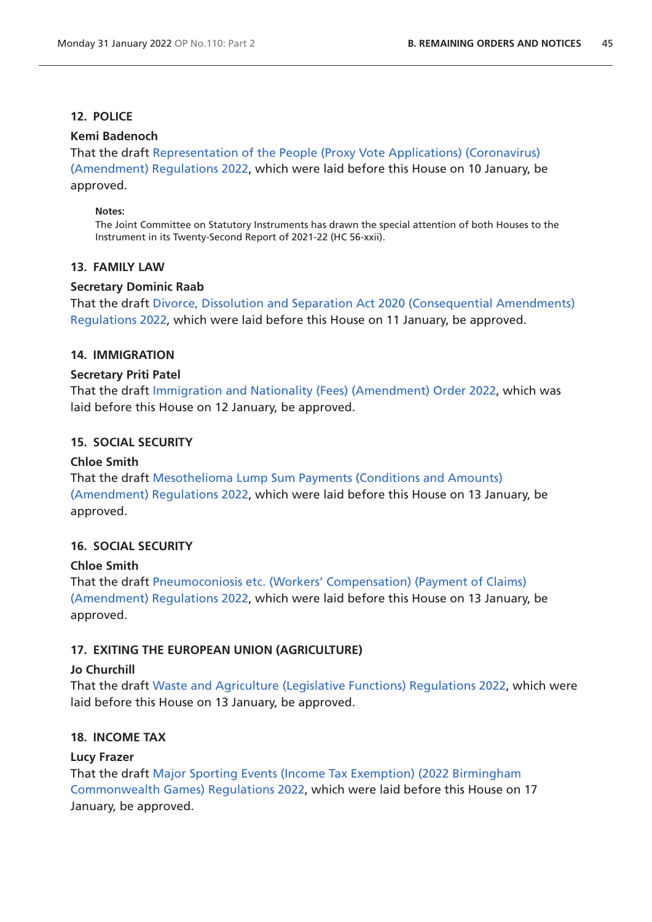# **12. POLICE**

### **Kemi Badenoch**

That the draf[t Representation of the People \(Proxy Vote Applications\) \(Coronavirus\)](https://www.legislation.gov.uk/ukdsi/2022/9780348230925/pdfs/ukdsi_9780348230925_en.pdf) 

[\(Amendment\) Regulations 2022,](https://www.legislation.gov.uk/ukdsi/2022/9780348230925/pdfs/ukdsi_9780348230925_en.pdf) which were laid before this House on 10 January, be approved.

#### **Notes:**

The Joint Committee on Statutory Instruments has drawn the special attention of both Houses to the Instrument in its Twenty-Second Report of 2021-22 (HC 56-xxii).

### **13. FAMILY LAW**

### **Secretary Dominic Raab**

That the draft [Divorce, Dissolution and Separation Act 2020 \(Consequential Amendments\)](https://www.legislation.gov.uk/ukdsi/2022/9780348230949/pdfs/ukdsi_9780348230949_en.pdf)  [Regulations 2022](https://www.legislation.gov.uk/ukdsi/2022/9780348230949/pdfs/ukdsi_9780348230949_en.pdf), which were laid before this House on 11 January, be approved.

### **14. IMMIGRATION**

### **Secretary Priti Patel**

That the draft [Immigration and Nationality \(Fees\) \(Amendment\) Order 2022](https://www.legislation.gov.uk/ukdsi/2022/9780348231007/pdfs/ukdsi_9780348231007_en.pdf), which was laid before this House on 12 January, be approved.

### **15. SOCIAL SECURITY**

### **Chloe Smith**

That the draft [Mesothelioma Lump Sum Payments \(Conditions and Amounts\)](https://www.legislation.gov.uk/ukdsi/2022/9780348230932/pdfs/ukdsi_9780348230932_en.pdf)  [\(Amendment\) Regulations 2022,](https://www.legislation.gov.uk/ukdsi/2022/9780348230932/pdfs/ukdsi_9780348230932_en.pdf) which were laid before this House on 13 January, be approved.

# **16. SOCIAL SECURITY**

### **Chloe Smith**

That the draft [Pneumoconiosis etc. \(Workers' Compensation\) \(Payment of Claims\)](https://www.legislation.gov.uk/ukdsi/2022/9780348230994/pdfs/ukdsi_9780348230994_en.pdf)  [\(Amendment\) Regulations 2022,](https://www.legislation.gov.uk/ukdsi/2022/9780348230994/pdfs/ukdsi_9780348230994_en.pdf) which were laid before this House on 13 January, be approved.

# **17. EXITING THE EUROPEAN UNION (AGRICULTURE)**

### **Jo Churchill**

That the draft [Waste and Agriculture \(Legislative Functions\) Regulations 2022](https://www.legislation.gov.uk/ukdsi/2022/9780348231113/pdfs/ukdsi_9780348231113_en.pdf), which were laid before this House on 13 January, be approved.

### **18. INCOME TAX**

### **Lucy Frazer**

That the draft [Major Sporting Events \(Income Tax Exemption\) \(2022 Birmingham](https://www.legislation.gov.uk/ukdsi/2022/9780348231120/pdfs/ukdsi_9780348231120_en.pdf)  [Commonwealth Games\) Regulations 2022](https://www.legislation.gov.uk/ukdsi/2022/9780348231120/pdfs/ukdsi_9780348231120_en.pdf), which were laid before this House on 17 January, be approved.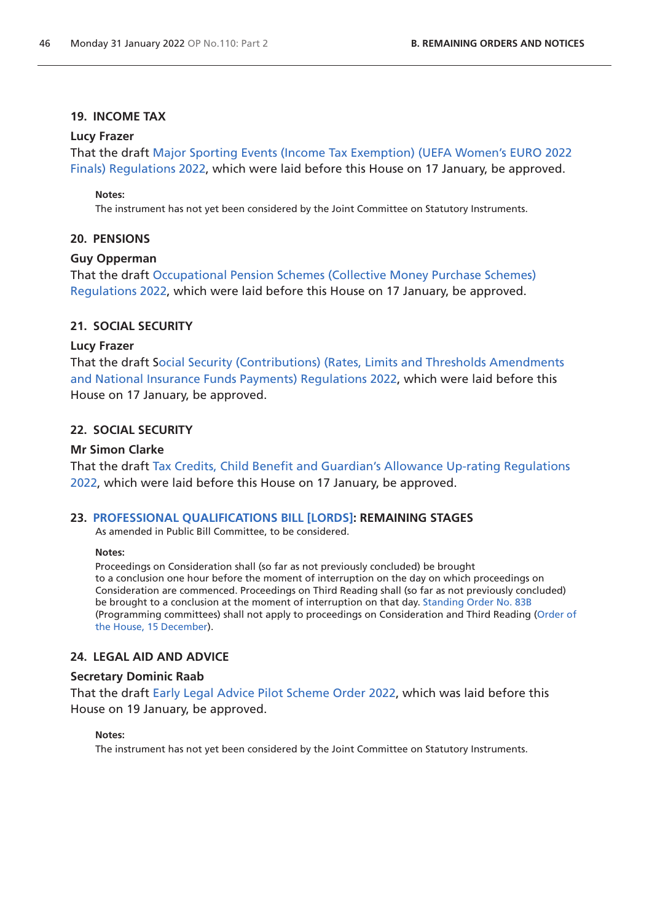#### **19. INCOME TAX**

#### **Lucy Frazer**

That the draft [Major Sporting Events \(Income Tax Exemption\) \(UEFA Women's EURO 2022](https://www.legislation.gov.uk/ukdsi/2022/9780348231168/pdfs/ukdsi_9780348231168_en.pdf)  [Finals\) Regulations 2022,](https://www.legislation.gov.uk/ukdsi/2022/9780348231168/pdfs/ukdsi_9780348231168_en.pdf) which were laid before this House on 17 January, be approved.

#### **Notes:**

The instrument has not yet been considered by the Joint Committee on Statutory Instruments.

#### **20. PENSIONS**

#### **Guy Opperman**

That the draft [Occupational Pension Schemes \(Collective Money Purchase Schemes\)](https://www.legislation.gov.uk/ukdsi/2022/9780348231182/pdfs/ukdsi_9780348231182_en.pdf)  [Regulations 2022](https://www.legislation.gov.uk/ukdsi/2022/9780348231182/pdfs/ukdsi_9780348231182_en.pdf), which were laid before this House on 17 January, be approved.

### **21. SOCIAL SECURITY**

#### **Lucy Frazer**

That the draft [Social Security \(Contributions\) \(Rates, Limits and Thresholds Amendments](https://www.legislation.gov.uk/ukdsi/2022/9780348231175/pdfs/ukdsi_9780348231175_en.pdf)  [and National Insurance Funds Payments\) Regulations 2022,](https://www.legislation.gov.uk/ukdsi/2022/9780348231175/pdfs/ukdsi_9780348231175_en.pdf) which were laid before this House on 17 January, be approved.

### **22. SOCIAL SECURITY**

#### **Mr Simon Clarke**

That the draft [Tax Credits, Child Benefit and Guardian's Allowance Up-rating Regulations](https://www.legislation.gov.uk/ukdsi/2022/9780348231205/pdfs/ukdsi_9780348231205_en.pdf)  [2022,](https://www.legislation.gov.uk/ukdsi/2022/9780348231205/pdfs/ukdsi_9780348231205_en.pdf) which were laid before this House on 17 January, be approved.

#### **23. [PROFESSIONAL QUALIFICATIONS BILL \[LORDS\]:](https://publications.parliament.uk/pa/bills/cbill/58-02/0231/210231.pdf) REMAINING STAGES**

As amended in Public Bill Committee, to be considered.

#### **Notes:**

Proceedings on Consideration shall (so far as not previously concluded) be brought to a conclusion one hour before the moment of interruption on the day on which proceedings on Consideration are commenced. Proceedings on Third Reading shall (so far as not previously concluded) be brought to a conclusion at the moment of interruption on that day. [Standing Order No. 83B](https://publications.parliament.uk/pa/cm5802/cmstords/so_804_2021/so-orders.html#so-83B) (Programming committees) shall not apply to proceedings on Consideration and Third Reading ([Order of](https://commonsbusiness.parliament.uk/document/52786/pdf)  [the House, 15 December\)](https://commonsbusiness.parliament.uk/document/52786/pdf).

#### **24. LEGAL AID AND ADVICE**

### **Secretary Dominic Raab**

That the draft [Early Legal Advice Pilot Scheme Order 2022](https://www.legislation.gov.uk/ukdsi/2022/9780348231311/pdfs/ukdsi_9780348231311_en.pdf), which was laid before this House on 19 January, be approved.

#### **Notes:**

The instrument has not yet been considered by the Joint Committee on Statutory Instruments.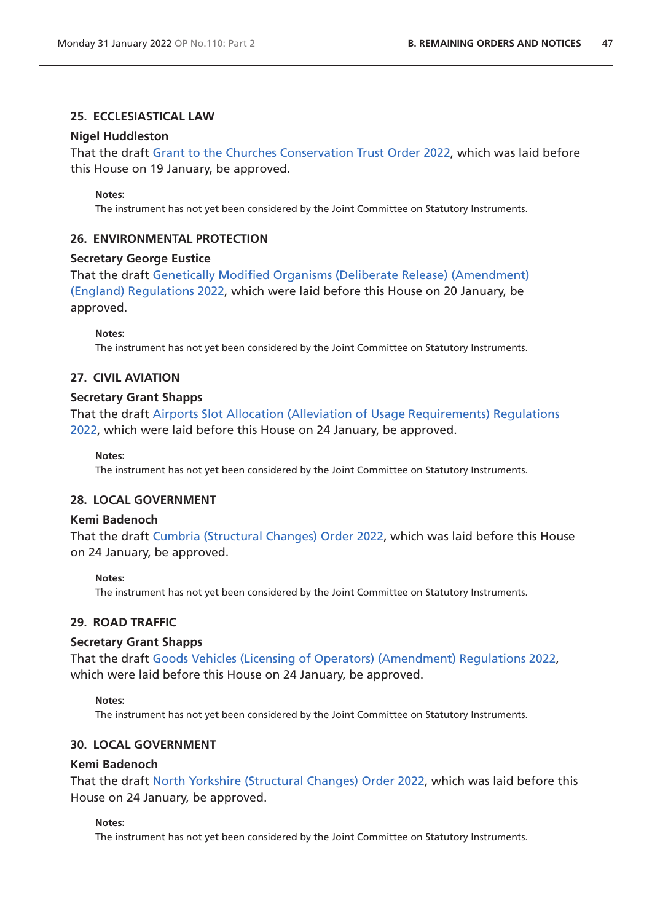### **25. ECCLESIASTICAL LAW**

#### **Nigel Huddleston**

That the draft [Grant to the Churches Conservation Trust Order 2022](https://www.legislation.gov.uk/ukdsi/2022/9780348231281/pdfs/ukdsi_9780348231281_en.pdf), which was laid before this House on 19 January, be approved.

#### **Notes:**

The instrument has not yet been considered by the Joint Committee on Statutory Instruments.

#### **26. ENVIRONMENTAL PROTECTION**

#### **Secretary George Eustice**

That the draft [Genetically Modified Organisms \(Deliberate Release\) \(Amendment\)](https://www.legislation.gov.uk/ukdsi/2022/9780348231328/pdfs/ukdsi_9780348231328_en.pdf)  [\(England\) Regulations 2022,](https://www.legislation.gov.uk/ukdsi/2022/9780348231328/pdfs/ukdsi_9780348231328_en.pdf) which were laid before this House on 20 January, be approved.

**Notes:**

The instrument has not yet been considered by the Joint Committee on Statutory Instruments.

# **27. CIVIL AVIATION**

#### **Secretary Grant Shapps**

That the draft [Airports Slot Allocation \(Alleviation of Usage Requirements\) Regulations](https://www.legislation.gov.uk/ukdsi/2022/9780348231403/pdfs/ukdsi_9780348231403_en.pdf)  [2022,](https://www.legislation.gov.uk/ukdsi/2022/9780348231403/pdfs/ukdsi_9780348231403_en.pdf) which were laid before this House on 24 January, be approved.

**Notes:**

The instrument has not yet been considered by the Joint Committee on Statutory Instruments.

### **28. LOCAL GOVERNMENT**

#### **Kemi Badenoch**

That the draft [Cumbria \(Structural Changes\) Order 2022](https://www.legislation.gov.uk/ukdsi/2022/9780348231359/pdfs/ukdsi_9780348231359_en.pdf), which was laid before this House on 24 January, be approved.

#### **Notes:**

The instrument has not yet been considered by the Joint Committee on Statutory Instruments.

### **29. ROAD TRAFFIC**

#### **Secretary Grant Shapps**

That the draft [Goods Vehicles \(Licensing of Operators\) \(Amendment\) Regulations 2022,](https://www.legislation.gov.uk/ukdsi/2022/9780348230987/pdfs/ukdsi_9780348230987_en.pdf) which were laid before this House on 24 January, be approved.

#### **Notes:**

The instrument has not yet been considered by the Joint Committee on Statutory Instruments.

#### **30. LOCAL GOVERNMENT**

#### **Kemi Badenoch**

That the draft [North Yorkshire \(Structural Changes\) Order 2022,](https://www.legislation.gov.uk/ukdsi/2022/9780348231380/pdfs/ukdsi_9780348231380_en.pdf) which was laid before this House on 24 January, be approved.

**Notes:**

The instrument has not yet been considered by the Joint Committee on Statutory Instruments.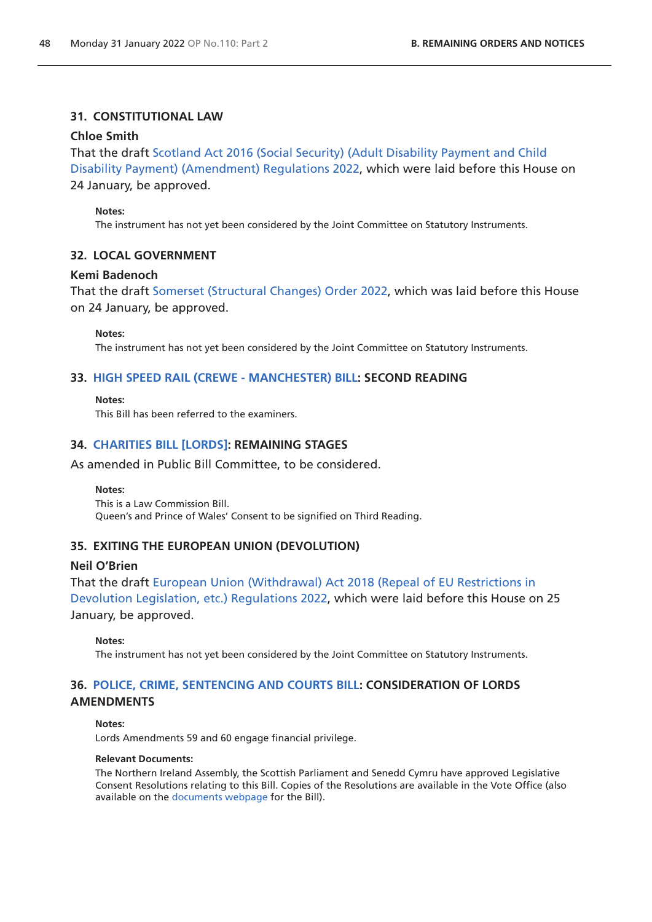#### **31. CONSTITUTIONAL LAW**

#### **Chloe Smith**

That the draft [Scotland Act 2016 \(Social Security\) \(Adult Disability Payment and Child](https://www.legislation.gov.uk/ukdsi/2022/9780348231335/pdfs/ukdsi_9780348231335_en.pdf)  [Disability Payment\) \(Amendment\) Regulations 2022](https://www.legislation.gov.uk/ukdsi/2022/9780348231335/pdfs/ukdsi_9780348231335_en.pdf), which were laid before this House on 24 January, be approved.

#### **Notes:**

The instrument has not yet been considered by the Joint Committee on Statutory Instruments.

#### **32. LOCAL GOVERNMENT**

#### **Kemi Badenoch**

That the draft [Somerset \(Structural Changes\) Order 2022](https://www.legislation.gov.uk/ukdsi/2022/9780348231366/pdfs/ukdsi_9780348231366_en.pdf), which was laid before this House on 24 January, be approved.

#### **Notes:**

The instrument has not yet been considered by the Joint Committee on Statutory Instruments.

#### **33. [HIGH SPEED RAIL \(CREWE - MANCHESTER\) BILL:](https://publications.parliament.uk/pa/bills/cbill/58-02/0228/210228.pdf) SECOND READING**

**Notes:** This Bill has been referred to the examiners.

#### **34. [CHARITIES BILL \[LORDS\]:](https://publications.parliament.uk/pa/bills/cbill/58-02/0237/210237.pdf) REMAINING STAGES**

As amended in Public Bill Committee, to be considered.

**Notes:**

This is a Law Commission Bill. Queen's and Prince of Wales' Consent to be signified on Third Reading.

#### **35. EXITING THE EUROPEAN UNION (DEVOLUTION)**

#### **Neil O'Brien**

That the draft [European Union \(Withdrawal\) Act 2018 \(Repeal of EU Restrictions in](https://www.legislation.gov.uk/ukdsi/2022/9780348231342/pdfs/ukdsi_9780348231342_en.pdf)  [Devolution Legislation, etc.\) Regulations 2022](https://www.legislation.gov.uk/ukdsi/2022/9780348231342/pdfs/ukdsi_9780348231342_en.pdf), which were laid before this House on 25 January, be approved.

#### **Notes:**

The instrument has not yet been considered by the Joint Committee on Statutory Instruments.

### **36. [POLICE, CRIME, SENTENCING AND COURTS BILL](https://publications.parliament.uk/pa/bills/cbill/58-02/0239/210239.pdf): CONSIDERATION OF LORDS AMENDMENTS**

#### **Notes:**

Lords Amendments 59 and 60 engage financial privilege.

#### **Relevant Documents:**

The Northern Ireland Assembly, the Scottish Parliament and Senedd Cymru have approved Legislative Consent Resolutions relating to this Bill. Copies of the Resolutions are available in the Vote Office (also available on the [documents webpage](https://bills.parliament.uk/bills/2839/publications) for the Bill).